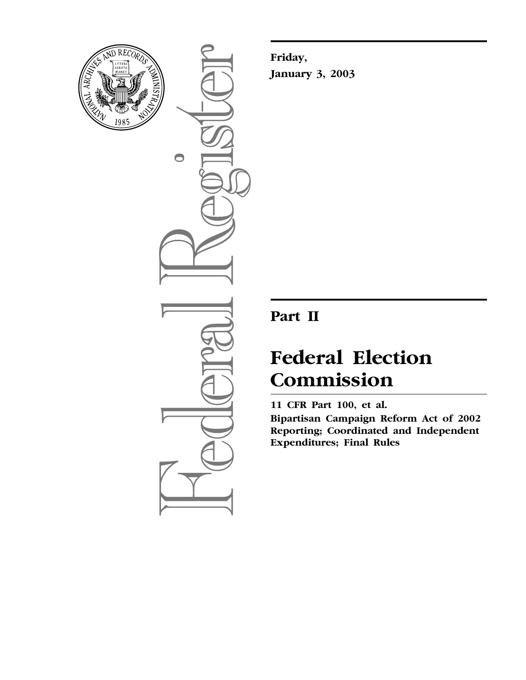

 $\bigcirc$ 

**Friday, January 3, 2003** 

## **Part II**

# **Federal Election Commission**

**11 CFR Part 100, et al.** 

**Bipartisan Campaign Reform Act of 2002 Reporting; Coordinated and Independent Expenditures; Final Rules**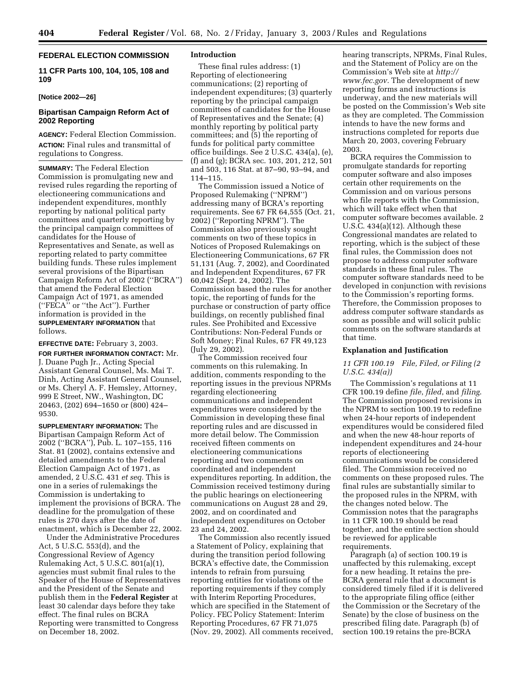## **FEDERAL ELECTION COMMISSION**

**11 CFR Parts 100, 104, 105, 108 and 109** 

#### **[Notice 2002—26]**

## **Bipartisan Campaign Reform Act of 2002 Reporting**

**AGENCY:** Federal Election Commission. **ACTION:** Final rules and transmittal of regulations to Congress.

**SUMMARY:** The Federal Election Commission is promulgating new and revised rules regarding the reporting of electioneering communications and independent expenditures, monthly reporting by national political party committees and quarterly reporting by the principal campaign committees of candidates for the House of Representatives and Senate, as well as reporting related to party committee building funds. These rules implement several provisions of the Bipartisan Campaign Reform Act of 2002 (''BCRA'') that amend the Federal Election Campaign Act of 1971, as amended (''FECA'' or ''the Act''). Further information is provided in the **SUPPLEMENTARY INFORMATION** that follows.

## **EFFECTIVE DATE:** February 3, 2003.

**FOR FURTHER INFORMATION CONTACT:** Mr. J. Duane Pugh Jr., Acting Special Assistant General Counsel, Ms. Mai T. Dinh, Acting Assistant General Counsel, or Ms. Cheryl A. F. Hemsley, Attorney, 999 E Street, NW., Washington, DC 20463, (202) 694–1650 or (800) 424– 9530.

**SUPPLEMENTARY INFORMATION:** The Bipartisan Campaign Reform Act of 2002 (''BCRA''), Pub. L. 107–155, 116 Stat. 81 (2002), contains extensive and detailed amendments to the Federal Election Campaign Act of 1971, as amended, 2 U.S.C. 431 *et seq.* This is one in a series of rulemakings the Commission is undertaking to implement the provisions of BCRA. The deadline for the promulgation of these rules is 270 days after the date of enactment, which is December 22, 2002.

Under the Administrative Procedures Act, 5 U.S.C. 553(d), and the Congressional Review of Agency Rulemaking Act, 5 U.S.C. 801(a)(1), agencies must submit final rules to the Speaker of the House of Representatives and the President of the Senate and publish them in the **Federal Register** at least 30 calendar days before they take effect. The final rules on BCRA Reporting were transmitted to Congress on December 18, 2002.

## **Introduction**

These final rules address: (1) Reporting of electioneering communications; (2) reporting of independent expenditures; (3) quarterly reporting by the principal campaign committees of candidates for the House of Representatives and the Senate; (4) monthly reporting by political party committees; and (5) the reporting of funds for political party committee office buildings. See 2 U.S.C. 434(a), (e), (f) and (g); BCRA sec. 103, 201, 212, 501 and 503, 116 Stat. at 87–90, 93–94, and 114–115.

The Commission issued a Notice of Proposed Rulemaking (''NPRM'') addressing many of BCRA's reporting requirements. See 67 FR 64,555 (Oct. 21, 2002) (''Reporting NPRM''). The Commission also previously sought comments on two of these topics in Notices of Proposed Rulemakings on Electioneering Communications, 67 FR 51,131 (Aug. 7, 2002), and Coordinated and Independent Expenditures, 67 FR 60,042 (Sept. 24, 2002). The Commission based the rules for another topic, the reporting of funds for the purchase or construction of party office buildings, on recently published final rules. See Prohibited and Excessive Contributions: Non-Federal Funds or Soft Money; Final Rules, 67 FR 49,123 (July 29, 2002).

The Commission received four comments on this rulemaking. In addition, comments responding to the reporting issues in the previous NPRMs regarding electioneering communications and independent expenditures were considered by the Commission in developing these final reporting rules and are discussed in more detail below. The Commission received fifteen comments on electioneering communications reporting and two comments on coordinated and independent expenditures reporting. In addition, the Commission received testimony during the public hearings on electioneering communications on August 28 and 29, 2002, and on coordinated and independent expenditures on October 23 and 24, 2002.

The Commission also recently issued a Statement of Policy, explaining that during the transition period following BCRA's effective date, the Commission intends to refrain from pursuing reporting entities for violations of the reporting requirements if they comply with Interim Reporting Procedures, which are specified in the Statement of Policy. FEC Policy Statement: Interim Reporting Procedures, 67 FR 71,075 (Nov. 29, 2002). All comments received, hearing transcripts, NPRMs, Final Rules, and the Statement of Policy are on the [Commission's Web site at](http://www.fec.gov) *http:// www.fec.gov.* The development of new reporting forms and instructions is underway, and the new materials will be posted on the Commission's Web site as they are completed. The Commission intends to have the new forms and instructions completed for reports due March 20, 2003, covering February 2003.

BCRA requires the Commission to promulgate standards for reporting computer software and also imposes certain other requirements on the Commission and on various persons who file reports with the Commission, which will take effect when that computer software becomes available. 2 U.S.C. 434(a)(12). Although these Congressional mandates are related to reporting, which is the subject of these final rules, the Commission does not propose to address computer software standards in these final rules. The computer software standards need to be developed in conjunction with revisions to the Commission's reporting forms. Therefore, the Commission proposes to address computer software standards as soon as possible and will solicit public comments on the software standards at that time.

#### **Explanation and Justification**

## *11 CFR 100.19 File, Filed, or Filing (2 U.S.C. 434(a))*

The Commission's regulations at 11 CFR 100.19 define *file*, *filed*, and *filing*. The Commission proposed revisions in the NPRM to section 100.19 to redefine when 24-hour reports of independent expenditures would be considered filed and when the new 48-hour reports of independent expenditures and 24-hour reports of electioneering communications would be considered filed. The Commission received no comments on these proposed rules. The final rules are substantially similar to the proposed rules in the NPRM, with the changes noted below. The Commission notes that the paragraphs in 11 CFR 100.19 should be read together, and the entire section should be reviewed for applicable requirements.

Paragraph (a) of section 100.19 is unaffected by this rulemaking, except for a new heading. It retains the pre-BCRA general rule that a document is considered timely filed if it is delivered to the appropriate filing office (either the Commission or the Secretary of the Senate) by the close of business on the prescribed filing date. Paragraph (b) of section 100.19 retains the pre-BCRA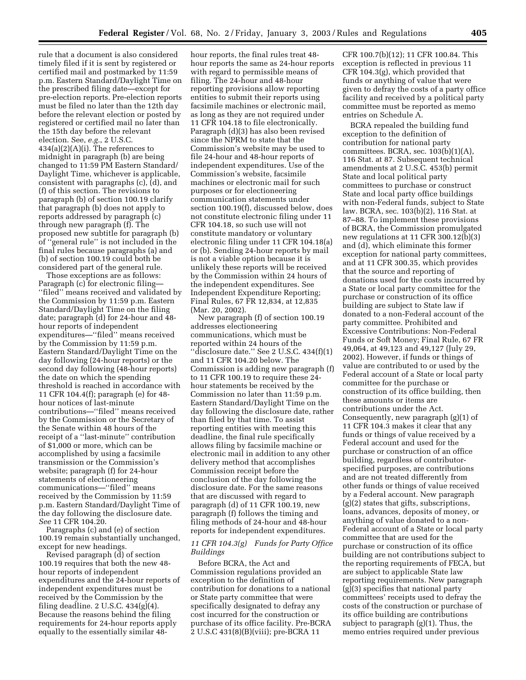rule that a document is also considered timely filed if it is sent by registered or certified mail and postmarked by 11:59 p.m. Eastern Standard/Daylight Time on the prescribed filing date—except for pre-election reports. Pre-election reports must be filed no later than the 12th day before the relevant election or posted by registered or certified mail no later than the 15th day before the relevant election. See, *e.g.*, 2 U.S.C.  $434(a)(2)(A)(i)$ . The references to midnight in paragraph (b) are being changed to 11:59 PM Eastern Standard/ Daylight Time, whichever is applicable, consistent with paragraphs (c), (d), and (f) of this section. The revisions to paragraph (b) of section 100.19 clarify that paragraph (b) does not apply to reports addressed by paragraph (c) through new paragraph (f). The proposed new subtitle for paragraph (b) of ''general rule'' is not included in the final rules because paragraphs (a) and (b) of section 100.19 could both be considered part of the general rule.

Those exceptions are as follows: Paragraph (c) for electronic filing— ''filed'' means received and validated by the Commission by 11:59 p.m. Eastern Standard/Daylight Time on the filing date; paragraph (d) for 24-hour and 48 hour reports of independent expenditures—''filed'' means received by the Commission by 11:59 p.m. Eastern Standard/Daylight Time on the day following (24-hour reports) or the second day following (48-hour reports) the date on which the spending threshold is reached in accordance with 11 CFR 104.4(f); paragraph (e) for 48 hour notices of last-minute contributions—''filed'' means received by the Commission or the Secretary of the Senate within 48 hours of the receipt of a ''last-minute'' contribution of \$1,000 or more, which can be accomplished by using a facsimile transmission or the Commission's website; paragraph (f) for 24-hour statements of electioneering communications—''filed'' means received by the Commission by 11:59 p.m. Eastern Standard/Daylight Time of the day following the disclosure date. *See* 11 CFR 104.20.

Paragraphs (c) and (e) of section 100.19 remain substantially unchanged, except for new headings.

Revised paragraph (d) of section 100.19 requires that both the new 48 hour reports of independent expenditures and the 24-hour reports of independent expenditures must be received by the Commission by the filing deadline.  $2 \text{ U.S.C. } 434(g)(4)$ . Because the reasons behind the filing requirements for 24-hour reports apply equally to the essentially similar 48hour reports, the final rules treat 48 hour reports the same as 24-hour reports with regard to permissible means of filing. The 24-hour and 48-hour reporting provisions allow reporting entities to submit their reports using facsimile machines or electronic mail, as long as they are not required under 11 CFR 104.18 to file electronically. Paragraph (d)(3) has also been revised since the NPRM to state that the Commission's website may be used to file 24-hour and 48-hour reports of independent expenditures. Use of the Commission's website, facsimile machines or electronic mail for such purposes or for electioneering communication statements under section 100.19(f), discussed below, does not constitute electronic filing under 11 CFR 104.18, so such use will not constitute mandatory or voluntary electronic filing under 11 CFR 104.18(a) or (b). Sending 24-hour reports by mail is not a viable option because it is unlikely these reports will be received by the Commission within 24 hours of the independent expenditures. See Independent Expenditure Reporting; Final Rules, 67 FR 12,834, at 12,835 (Mar. 20, 2002).

New paragraph (f) of section 100.19 addresses electioneering communications, which must be reported within 24 hours of the ''disclosure date.'' See 2 U.S.C. 434(f)(1) and 11 CFR 104.20 below. The Commission is adding new paragraph (f) to 11 CFR 100.19 to require these 24 hour statements be received by the Commission no later than 11:59 p.m. Eastern Standard/Daylight Time on the day following the disclosure date, rather than filed by that time. To assist reporting entities with meeting this deadline, the final rule specifically allows filing by facsimile machine or electronic mail in addition to any other delivery method that accomplishes Commission receipt before the conclusion of the day following the disclosure date. For the same reasons that are discussed with regard to paragraph (d) of 11 CFR 100.19, new paragraph (f) follows the timing and filing methods of 24-hour and 48-hour reports for independent expenditures.

## *11 CFR 104.3(g) Funds for Party Office Buildings*

Before BCRA, the Act and Commission regulations provided an exception to the definition of contribution for donations to a national or State party committee that were specifically designated to defray any cost incurred for the construction or purchase of its office facility. Pre-BCRA 2 U.S.C 431(8)(B)(viii); pre-BCRA 11

CFR 100.7(b)(12); 11 CFR 100.84. This exception is reflected in previous 11 CFR 104.3(g), which provided that funds or anything of value that were given to defray the costs of a party office facility and received by a political party committee must be reported as memo entries on Schedule A.

BCRA repealed the building fund exception to the definition of contribution for national party committees. BCRA, sec. 103(b)(1)(A), 116 Stat. at 87. Subsequent technical amendments at 2 U.S.C. 453(b) permit State and local political party committees to purchase or construct State and local party office buildings with non-Federal funds, subject to State law. BCRA, sec. 103(b)(2), 116 Stat. at 87–88. To implement these provisions of BCRA, the Commission promulgated new regulations at 11 CFR 300.12(b)(3) and (d), which eliminate this former exception for national party committees, and at 11 CFR 300.35, which provides that the source and reporting of donations used for the costs incurred by a State or local party committee for the purchase or construction of its office building are subject to State law if donated to a non-Federal account of the party committee. Prohibited and Excessive Contributions: Non-Federal Funds or Soft Money; Final Rule, 67 FR 49,064, at 49,123 and 49,127 (July 29, 2002). However, if funds or things of value are contributed to or used by the Federal account of a State or local party committee for the purchase or construction of its office building, then these amounts or items are contributions under the Act. Consequently, new paragraph (g)(1) of 11 CFR 104.3 makes it clear that any funds or things of value received by a Federal account and used for the purchase or construction of an office building, regardless of contributorspecified purposes, are contributions and are not treated differently from other funds or things of value received by a Federal account. New paragraph (g)(2) states that gifts, subscriptions, loans, advances, deposits of money, or anything of value donated to a non-Federal account of a State or local party committee that are used for the purchase or construction of its office building are not contributions subject to the reporting requirements of FECA, but are subject to applicable State law reporting requirements. New paragraph (g)(3) specifies that national party committees' receipts used to defray the costs of the construction or purchase of its office building are contributions subject to paragraph (g)(1). Thus, the memo entries required under previous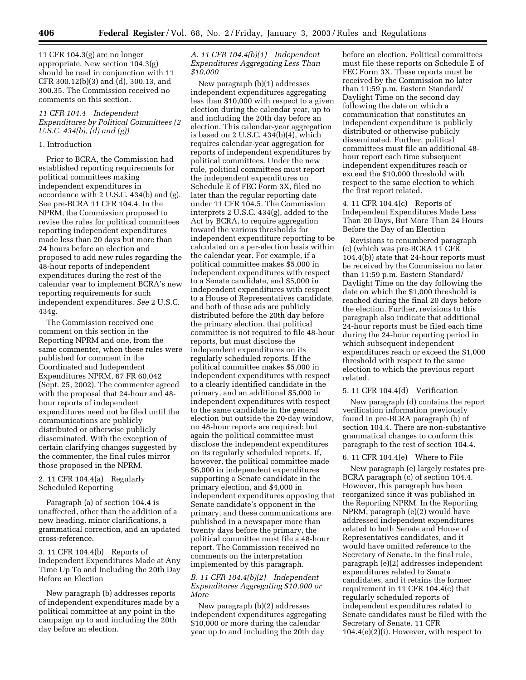11 CFR 104.3(g) are no longer appropriate. New section 104.3(g) should be read in conjunction with 11 CFR 300.12(b)(3) and (d), 300.13, and 300.35. The Commission received no comments on this section.

## *11 CFR 104.4 Independent Expenditures by Political Committees (2 U.S.C. 434(b), (d) and (g))*

## 1. Introduction

Prior to BCRA, the Commission had established reporting requirements for political committees making independent expenditures in accordance with 2 U.S.C. 434(b) and (g). See pre-BCRA 11 CFR 104.4. In the NPRM, the Commission proposed to revise the rules for political committees reporting independent expenditures made less than 20 days but more than 24 hours before an election and proposed to add new rules regarding the 48-hour reports of independent expenditures during the rest of the calendar year to implement BCRA's new reporting requirements for such independent expenditures. *See* 2 U.S.C. 434g.

The Commission received one comment on this section in the Reporting NPRM and one, from the same commenter, when these rules were published for comment in the Coordinated and Independent Expenditures NPRM, 67 FR 60,042 (Sept. 25, 2002). The commenter agreed with the proposal that 24-hour and 48 hour reports of independent expenditures need not be filed until the communications are publicly distributed or otherwise publicly disseminated. With the exception of certain clarifying changes suggested by the commenter, the final rules mirror those proposed in the NPRM.

## 2. 11 CFR 104.4(a) Regularly Scheduled Reporting

Paragraph (a) of section 104.4 is unaffected, other than the addition of a new heading, minor clarifications, a grammatical correction, and an updated cross-reference.

3. 11 CFR 104.4(b) Reports of Independent Expenditures Made at Any Time Up To and Including the 20th Day Before an Election

New paragraph (b) addresses reports of independent expenditures made by a political committee at any point in the campaign up to and including the 20th day before an election.

## *A. 11 CFR 104.4(b)(1) Independent Expenditures Aggregating Less Than \$10,000*

New paragraph (b)(1) addresses independent expenditures aggregating less than \$10,000 with respect to a given election during the calendar year, up to and including the 20th day before an election. This calendar-year aggregation is based on 2 U.S.C. 434(b)(4), which requires calendar-year aggregation for reports of independent expenditures by political committees. Under the new rule, political committees must report the independent expenditures on Schedule E of FEC Form 3X, filed no later than the regular reporting date under 11 CFR 104.5. The Commission interprets 2 U.S.C. 434(g), added to the Act by BCRA, to require aggregation toward the various thresholds for independent expenditure reporting to be calculated on a per-election basis within the calendar year. For example, if a political committee makes \$5,000 in independent expenditures with respect to a Senate candidate, and \$5,000 in independent expenditures with respect to a House of Representatives candidate, and both of these ads are publicly distributed before the 20th day before the primary election, that political committee is not required to file 48-hour reports, but must disclose the independent expenditures on its regularly scheduled reports. If the political committee makes \$5,000 in independent expenditures with respect to a clearly identified candidate in the primary, and an additional \$5,000 in independent expenditures with respect to the same candidate in the general election but outside the 20-day window, no 48-hour reports are required; but again the political committee must disclose the independent expenditures on its regularly scheduled reports. If, however, the political committee made \$6,000 in independent expenditures supporting a Senate candidate in the primary election, and \$4,000 in independent expenditures opposing that Senate candidate's opponent in the primary, and these communications are published in a newspaper more than twenty days before the primary, the political committee must file a 48-hour report. The Commission received no comments on the interpretation implemented by this paragraph.

## *B. 11 CFR 104.4(b)(2) Independent Expenditures Aggregating \$10,000 or More*

New paragraph (b)(2) addresses independent expenditures aggregating \$10,000 or more during the calendar year up to and including the 20th day

before an election. Political committees must file these reports on Schedule E of FEC Form 3X. These reports must be received by the Commission no later than 11:59 p.m. Eastern Standard/ Daylight Time on the second day following the date on which a communication that constitutes an independent expenditure is publicly distributed or otherwise publicly disseminated. Further, political committees must file an additional 48 hour report each time subsequent independent expenditures reach or exceed the \$10,000 threshold with respect to the same election to which the first report related.

4. 11 CFR 104.4(c) Reports of Independent Expenditures Made Less Than 20 Days, But More Than 24 Hours Before the Day of an Election

Revisions to renumbered paragraph (c) (which was pre-BCRA 11 CFR 104.4(b)) state that 24-hour reports must be received by the Commission no later than 11:59 p.m. Eastern Standard/ Daylight Time on the day following the date on which the \$1,000 threshold is reached during the final 20 days before the election. Further, revisions to this paragraph also indicate that additional 24-hour reports must be filed each time during the 24-hour reporting period in which subsequent independent expenditures reach or exceed the \$1,000 threshold with respect to the same election to which the previous report related.

#### 5. 11 CFR 104.4(d) Verification

New paragraph (d) contains the report verification information previously found in pre-BCRA paragraph (b) of section 104.4. There are non-substantive grammatical changes to conform this paragraph to the rest of section 104.4.

#### 6. 11 CFR 104.4(e) Where to File

New paragraph (e) largely restates pre-BCRA paragraph (c) of section 104.4. However, this paragraph has been reorganized since it was published in the Reporting NPRM. In the Reporting NPRM, paragraph (e)(2) would have addressed independent expenditures related to both Senate and House of Representatives candidates, and it would have omitted reference to the Secretary of Senate. In the final rule, paragraph (e)(2) addresses independent expenditures related to Senate candidates, and it retains the former requirement in 11 CFR 104.4(c) that regularly scheduled reports of independent expenditures related to Senate candidates must be filed with the Secretary of Senate. 11 CFR 104.4(e)(2)(i). However, with respect to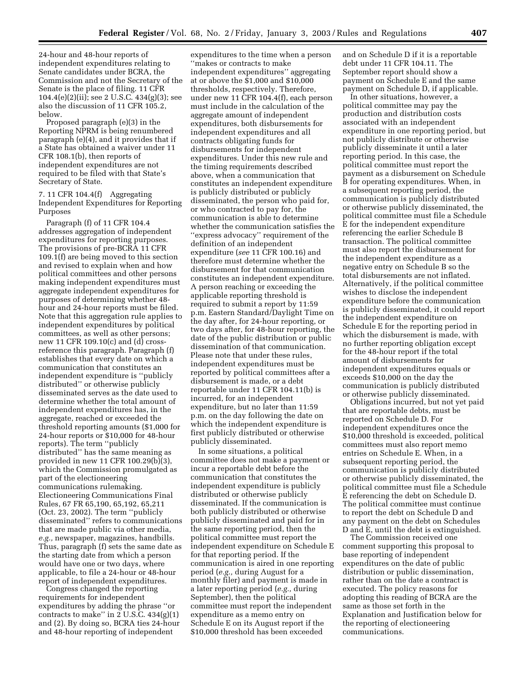24-hour and 48-hour reports of independent expenditures relating to Senate candidates under BCRA, the Commission and not the Secretary of the Senate is the place of filing. 11 CFR  $104.4(e)(2)(ii)$ ; see 2 U.S.C.  $434(g)(3)$ ; see also the discussion of 11 CFR 105.2, below.

Proposed paragraph (e)(3) in the Reporting NPRM is being renumbered paragraph (e)(4), and it provides that if a State has obtained a waiver under 11 CFR 108.1(b), then reports of independent expenditures are not required to be filed with that State's Secretary of State.

7. 11 CFR 104.4(f) Aggregating Independent Expenditures for Reporting Purposes

Paragraph (f) of 11 CFR 104.4 addresses aggregation of independent expenditures for reporting purposes. The provisions of pre-BCRA 11 CFR 109.1(f) are being moved to this section and revised to explain when and how political committees and other persons making independent expenditures must aggregate independent expenditures for purposes of determining whether 48 hour and 24-hour reports must be filed. Note that this aggregation rule applies to independent expenditures by political committees, as well as other persons; new 11 CFR 109.10(c) and (d) crossreference this paragraph. Paragraph (f) establishes that every date on which a communication that constitutes an independent expenditure is ''publicly distributed'' or otherwise publicly disseminated serves as the date used to determine whether the total amount of independent expenditures has, in the aggregate, reached or exceeded the threshold reporting amounts (\$1,000 for 24-hour reports or \$10,000 for 48-hour reports). The term ''publicly distributed'' has the same meaning as provided in new 11 CFR 100.29(b)(3), which the Commission promulgated as part of the electioneering communications rulemaking. Electioneering Communications Final Rules, 67 FR 65,190, 65,192, 65,211 (Oct. 23, 2002). The term ''publicly disseminated'' refers to communications that are made public via other media, *e.g.,* newspaper, magazines, handbills. Thus, paragraph (f) sets the same date as the starting date from which a person would have one or two days, where applicable, to file a 24-hour or 48-hour report of independent expenditures.

Congress changed the reporting requirements for independent expenditures by adding the phrase ''or contracts to make" in  $2$  U.S.C.  $434(g)(1)$ and (2). By doing so, BCRA ties 24-hour and 48-hour reporting of independent

expenditures to the time when a person ''makes or contracts to make independent expenditures'' aggregating at or above the \$1,000 and \$10,000 thresholds, respectively. Therefore, under new 11 CFR 104.4(f), each person must include in the calculation of the aggregate amount of independent expenditures, both disbursements for independent expenditures and all contracts obligating funds for disbursements for independent expenditures. Under this new rule and the timing requirements described above, when a communication that constitutes an independent expenditure is publicly distributed or publicly disseminated, the person who paid for, or who contracted to pay for, the communication is able to determine whether the communication satisfies the ''express advocacy'' requirement of the definition of an independent expenditure (*see* 11 CFR 100.16) and therefore must determine whether the disbursement for that communication constitutes an independent expenditure. A person reaching or exceeding the applicable reporting threshold is required to submit a report by 11:59 p.m. Eastern Standard/Daylight Time on the day after, for 24-hour reporting, or two days after, for 48-hour reporting, the date of the public distribution or public dissemination of that communication. Please note that under these rules, independent expenditures must be reported by political committees after a disbursement is made, or a debt reportable under 11 CFR 104.11(b) is incurred, for an independent expenditure, but no later than 11:59 p.m. on the day following the date on which the independent expenditure is first publicly distributed or otherwise publicly disseminated.

In some situations, a political committee does not make a payment or incur a reportable debt before the communication that constitutes the independent expenditure is publicly distributed or otherwise publicly disseminated. If the communication is both publicly distributed or otherwise publicly disseminated and paid for in the same reporting period, then the political committee must report the independent expenditure on Schedule E for that reporting period. If the communication is aired in one reporting period (*e.g.,* during August for a monthly filer) and payment is made in a later reporting period (*e.g.,* during September), then the political committee must report the independent expenditure as a memo entry on Schedule E on its August report if the \$10,000 threshold has been exceeded

and on Schedule D if it is a reportable debt under 11 CFR 104.11. The September report should show a payment on Schedule E and the same payment on Schedule D, if applicable.

In other situations, however, a political committee may pay the production and distribution costs associated with an independent expenditure in one reporting period, but not publicly distribute or otherwise publicly disseminate it until a later reporting period. In this case, the political committee must report the payment as a disbursement on Schedule B for operating expenditures. When, in a subsequent reporting period, the communication is publicly distributed or otherwise publicly disseminated, the political committee must file a Schedule E for the independent expenditure referencing the earlier Schedule B transaction. The political committee must also report the disbursement for the independent expenditure as a negative entry on Schedule B so the total disbursements are not inflated. Alternatively, if the political committee wishes to disclose the independent expenditure before the communication is publicly disseminated, it could report the independent expenditure on Schedule E for the reporting period in which the disbursement is made, with no further reporting obligation except for the 48-hour report if the total amount of disbursements for independent expenditures equals or exceeds \$10,000 on the day the communication is publicly distributed or otherwise publicly disseminated.

Obligations incurred, but not yet paid that are reportable debts, must be reported on Schedule D. For independent expenditures once the \$10,000 threshold is exceeded, political committees must also report memo entries on Schedule E. When, in a subsequent reporting period, the communication is publicly distributed or otherwise publicly disseminated, the political committee must file a Schedule E referencing the debt on Schedule D. The political committee must continue to report the debt on Schedule D and any payment on the debt on Schedules D and E, until the debt is extinguished.

The Commission received one comment supporting this proposal to base reporting of independent expenditures on the date of public distribution or public dissemination, rather than on the date a contract is executed. The policy reasons for adopting this reading of BCRA are the same as those set forth in the Explanation and Justification below for the reporting of electioneering communications.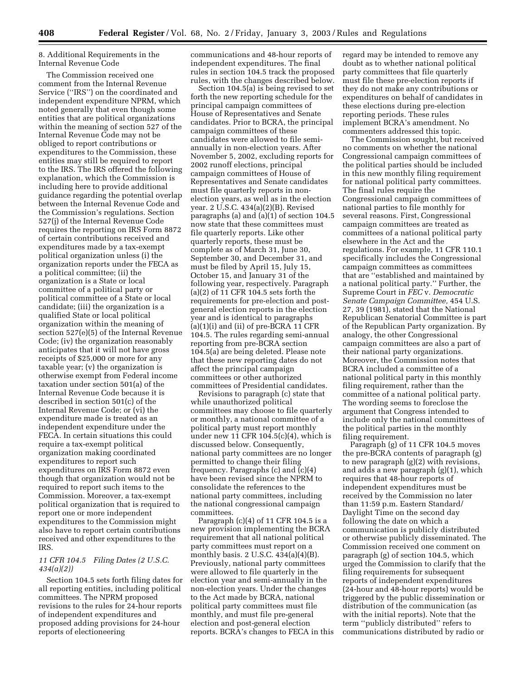8. Additional Requirements in the Internal Revenue Code

The Commission received one comment from the Internal Revenue Service (''IRS'') on the coordinated and independent expenditure NPRM, which noted generally that even though some entities that are political organizations within the meaning of section 527 of the Internal Revenue Code may not be obliged to report contributions or expenditures to the Commission, these entities may still be required to report to the IRS. The IRS offered the following explanation, which the Commission is including here to provide additional guidance regarding the potential overlap between the Internal Revenue Code and the Commission's regulations. Section 527(j) of the Internal Revenue Code requires the reporting on IRS Form 8872 of certain contributions received and expenditures made by a tax-exempt political organization unless (i) the organization reports under the FECA as a political committee; (ii) the organization is a State or local committee of a political party or political committee of a State or local candidate; (iii) the organization is a qualified State or local political organization within the meaning of section 527(e)(5) of the Internal Revenue Code; (iv) the organization reasonably anticipates that it will not have gross receipts of \$25,000 or more for any taxable year; (v) the organization is otherwise exempt from Federal income taxation under section 501(a) of the Internal Revenue Code because it is described in section 501(c) of the Internal Revenue Code; or (vi) the expenditure made is treated as an independent expenditure under the FECA. In certain situations this could require a tax-exempt political organization making coordinated expenditures to report such expenditures on IRS Form 8872 even though that organization would not be required to report such items to the Commission. Moreover, a tax-exempt political organization that is required to report one or more independent expenditures to the Commission might also have to report certain contributions received and other expenditures to the IRS.

## *11 CFR 104.5 Filing Dates (2 U.S.C. 434(a)(2))*

Section 104.5 sets forth filing dates for all reporting entities, including political committees. The NPRM proposed revisions to the rules for 24-hour reports of independent expenditures and proposed adding provisions for 24-hour reports of electioneering

communications and 48-hour reports of independent expenditures. The final rules in section 104.5 track the proposed rules, with the changes described below.

Section 104.5(a) is being revised to set forth the new reporting schedule for the principal campaign committees of House of Representatives and Senate candidates. Prior to BCRA, the principal campaign committees of these candidates were allowed to file semiannually in non-election years. After November 5, 2002, excluding reports for 2002 runoff elections, principal campaign committees of House of Representatives and Senate candidates must file quarterly reports in nonelection years, as well as in the election year. 2 U.S.C. 434(a)(2)(B). Revised paragraphs (a) and (a)(1) of section 104.5 now state that these committees must file quarterly reports. Like other quarterly reports, these must be complete as of March 31, June 30, September 30, and December 31, and must be filed by April 15, July 15, October 15, and January 31 of the following year, respectively. Paragraph (a)(2) of 11 CFR 104.5 sets forth the requirements for pre-election and postgeneral election reports in the election year and is identical to paragraphs  $(a)(1)(i)$  and  $(ii)$  of pre-BCRA 11 CFR 104.5. The rules regarding semi-annual reporting from pre-BCRA section 104.5(a) are being deleted. Please note that these new reporting dates do not affect the principal campaign committees or other authorized committees of Presidential candidates.

Revisions to paragraph (c) state that while unauthorized political committees may choose to file quarterly or monthly, a national committee of a political party must report monthly under new 11 CFR 104.5(c)(4), which is discussed below. Consequently, national party committees are no longer permitted to change their filing frequency. Paragraphs (c) and (c)(4) have been revised since the NPRM to consolidate the references to the national party committees, including the national congressional campaign committees.

Paragraph (c)(4) of 11 CFR 104.5 is a new provision implementing the BCRA requirement that all national political party committees must report on a monthly basis. 2 U.S.C. 434(a)(4)(B). Previously, national party committees were allowed to file quarterly in the election year and semi-annually in the non-election years. Under the changes to the Act made by BCRA, national political party committees must file monthly, and must file pre-general election and post-general election reports. BCRA's changes to FECA in this regard may be intended to remove any doubt as to whether national political party committees that file quarterly must file these pre-election reports if they do not make any contributions or expenditures on behalf of candidates in these elections during pre-election reporting periods. These rules implement BCRA's amendment. No commenters addressed this topic.

The Commission sought, but received no comments on whether the national Congressional campaign committees of the political parties should be included in this new monthly filing requirement for national political party committees. The final rules require the Congressional campaign committees of national parties to file monthly for several reasons. First, Congressional campaign committees are treated as committees of a national political party elsewhere in the Act and the regulations. For example, 11 CFR 110.1 specifically includes the Congressional campaign committees as committees that are ''established and maintained by a national political party.'' Further, the Supreme Court in *FEC* v. *Democratic Senate Campaign Committee,* 454 U.S. 27, 39 (1981), stated that the National Republican Senatorial Committee is part of the Republican Party organization. By analogy, the other Congressional campaign committees are also a part of their national party organizations. Moreover, the Commission notes that BCRA included a committee of a national political party in this monthly filing requirement, rather than the committee of a national political party. The wording seems to foreclose the argument that Congress intended to include only the national committees of the political parties in the monthly filing requirement.

Paragraph (g) of 11 CFR 104.5 moves the pre-BCRA contents of paragraph (g) to new paragraph (g)(2) with revisions, and adds a new paragraph (g)(1), which requires that 48-hour reports of independent expenditures must be received by the Commission no later than 11:59 p.m. Eastern Standard/ Daylight Time on the second day following the date on which a communication is publicly distributed or otherwise publicly disseminated. The Commission received one comment on paragraph (g) of section 104.5, which urged the Commission to clarify that the filing requirements for subsequent reports of independent expenditures (24-hour and 48-hour reports) would be triggered by the public dissemination or distribution of the communication (as with the initial reports). Note that the term ''publicly distributed'' refers to communications distributed by radio or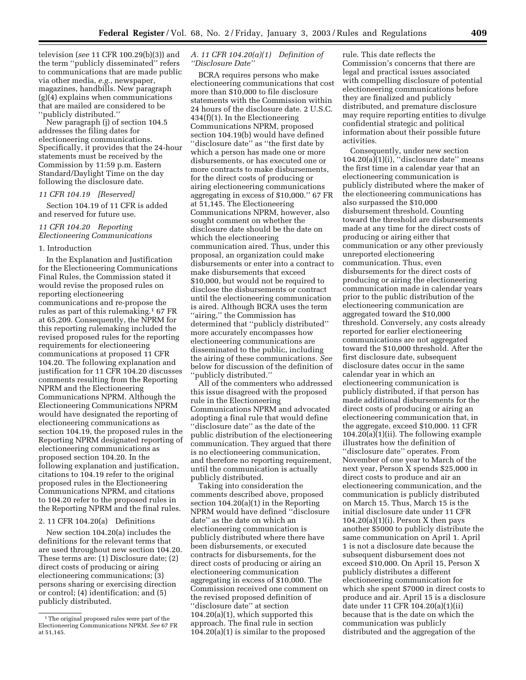television (*see* 11 CFR 100.29(b)(3)) and the term ''publicly disseminated'' refers to communications that are made public via other media, *e.g.*, newspaper, magazines, handbills. New paragraph (g)(4) explains when communications that are mailed are considered to be 'publicly distributed."

New paragraph (j) of section 104.5 addresses the filing dates for electioneering communications. Specifically, it provides that the 24-hour statements must be received by the Commission by 11:59 p.m. Eastern Standard/Daylight Time on the day following the disclosure date.

## *11 CFR 104.19 [Reserved]*

Section 104.19 of 11 CFR is added and reserved for future use.

## *11 CFR 104.20 Reporting Electioneering Communications*

#### 1. Introduction

In the Explanation and Justification for the Electioneering Communications Final Rules, the Commission stated it would revise the proposed rules on reporting electioneering communications and re-propose the rules as part of this rulemaking.<sup>1</sup> 67 FR at 65,209. Consequently, the NPRM for this reporting rulemaking included the revised proposed rules for the reporting requirements for electioneering communications at proposed 11 CFR 104.20. The following explanation and justification for 11 CFR 104.20 discusses comments resulting from the Reporting NPRM and the Electioneering Communications NPRM. Although the Electioneering Communications NPRM would have designated the reporting of electioneering communications as section 104.19, the proposed rules in the Reporting NPRM designated reporting of electioneering communications as proposed section 104.20. In the following explanation and justification, citations to 104.19 refer to the original proposed rules in the Electioneering Communications NPRM, and citations to 104.20 refer to the proposed rules in the Reporting NPRM and the final rules.

## 2. 11 CFR 104.20(a) Definitions

New section 104.20(a) includes the definitions for the relevant terms that are used throughout new section 104.20. These terms are: (1) Disclosure date; (2) direct costs of producing or airing electioneering communications; (3) persons sharing or exercising direction or control; (4) identification; and (5) publicly distributed.

## *A. 11 CFR 104.20(a)(1) Definition of ''Disclosure Date''*

BCRA requires persons who make electioneering communications that cost more than \$10,000 to file disclosure statements with the Commission within 24 hours of the disclosure date. 2 U.S.C. 434(f)(1). In the Electioneering Communications NPRM, proposed section 104.19(b) would have defined ''disclosure date'' as ''the first date by which a person has made one or more disbursements, or has executed one or more contracts to make disbursements, for the direct costs of producing or airing electioneering communications aggregating in excess of \$10,000.'' 67 FR at 51,145. The Electioneering Communications NPRM, however, also sought comment on whether the disclosure date should be the date on which the electioneering communication aired. Thus, under this proposal, an organization could make disbursements or enter into a contract to make disbursements that exceed \$10,000, but would not be required to disclose the disbursements or contract until the electioneering communication is aired. Although BCRA uses the term ''airing,'' the Commission has determined that ''publicly distributed'' more accurately encompasses how electioneering communications are disseminated to the public, including the airing of these communications. *See*  below for discussion of the definition of ''publicly distributed.''

All of the commenters who addressed this issue disagreed with the proposed rule in the Electioneering Communications NPRM and advocated adopting a final rule that would define ''disclosure date'' as the date of the public distribution of the electioneering communication. They argued that there is no electioneering communication, and therefore no reporting requirement, until the communication is actually publicly distributed.

Taking into consideration the comments described above, proposed section 104.20(a)(1) in the Reporting NPRM would have defined ''disclosure date'' as the date on which an electioneering communication is publicly distributed where there have been disbursements, or executed contracts for disbursements, for the direct costs of producing or airing an electioneering communication aggregating in excess of \$10,000. The Commission received one comment on the revised proposed definition of ''disclosure date'' at section 104.20(a)(1), which supported this approach. The final rule in section 104.20(a)(1) is similar to the proposed

rule. This date reflects the Commission's concerns that there are legal and practical issues associated with compelling disclosure of potential electioneering communications before they are finalized and publicly distributed, and premature disclosure may require reporting entities to divulge confidential strategic and political information about their possible future activities.

Consequently, under new section  $104.20(a)(1)(i)$ , "disclosure date" means the first time in a calendar year that an electioneering communication is publicly distributed where the maker of the electioneering communications has also surpassed the \$10,000 disbursement threshold. Counting toward the threshold are disbursements made at any time for the direct costs of producing or airing either that communication or any other previously unreported electioneering communication. Thus, even disbursements for the direct costs of producing or airing the electioneering communication made in calendar years prior to the public distribution of the electioneering communication are aggregated toward the \$10,000 threshold. Conversely, any costs already reported for earlier electioneering communications are not aggregated toward the \$10,000 threshold. After the first disclosure date, subsequent disclosure dates occur in the same calendar year in which an electioneering communication is publicly distributed, if that person has made additional disbursements for the direct costs of producing or airing an electioneering communication that, in the aggregate, exceed \$10,000. 11 CFR 104.20(a)(1)(ii). The following example illustrates how the definition of ''disclosure date'' operates. From November of one year to March of the next year, Person X spends \$25,000 in direct costs to produce and air an electioneering communication, and the communication is publicly distributed on March 15. Thus, March 15 is the initial disclosure date under 11 CFR  $104.20(a)(1)(i)$ . Person X then pays another \$5000 to publicly distribute the same communication on April 1. April 1 is not a disclosure date because the subsequent disbursement does not exceed \$10,000. On April 15, Person X publicly distributes a different electioneering communication for which she spent \$7000 in direct costs to produce and air. April 15 is a disclosure date under 11 CFR 104.20(a)(1)(ii) because that is the date on which the communication was publicly distributed and the aggregation of the

<sup>&</sup>lt;sup>1</sup> The original proposed rules were part of the Electioneering Communications NPRM. *See* 67 FR at 51,145.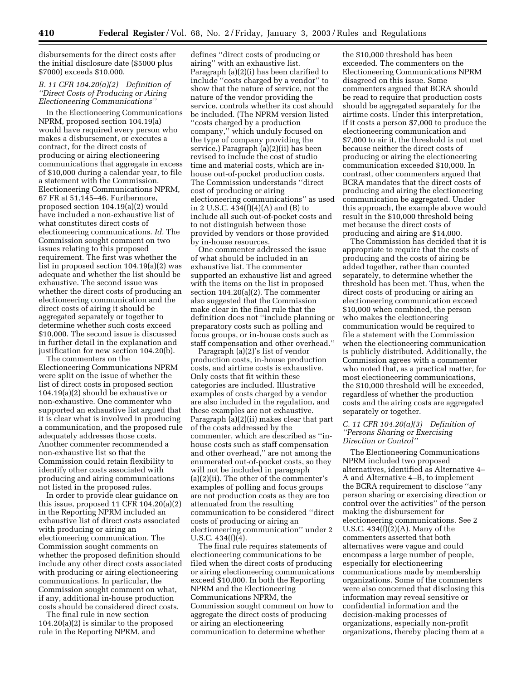disbursements for the direct costs after the initial disclosure date (\$5000 plus \$7000) exceeds \$10,000.

## *B. 11 CFR 104.20(a)(2) Definition of ''Direct Costs of Producing or Airing Electioneering Communications''*

In the Electioneering Communications NPRM, proposed section 104.19(a) would have required every person who makes a disbursement, or executes a contract, for the direct costs of producing or airing electioneering communications that aggregate in excess of \$10,000 during a calendar year, to file a statement with the Commission. Electioneering Communications NPRM, 67 FR at 51,145–46. Furthermore, proposed section 104.19(a)(2) would have included a non-exhaustive list of what constitutes direct costs of electioneering communications. *Id.* The Commission sought comment on two issues relating to this proposed requirement. The first was whether the list in proposed section 104.19(a)(2) was adequate and whether the list should be exhaustive. The second issue was whether the direct costs of producing an electioneering communication and the direct costs of airing it should be aggregated separately or together to determine whether such costs exceed \$10,000. The second issue is discussed in further detail in the explanation and justification for new section 104.20(b).

The commenters on the Electioneering Communications NPRM were split on the issue of whether the list of direct costs in proposed section 104.19(a)(2) should be exhaustive or non-exhaustive. One commenter who supported an exhaustive list argued that it is clear what is involved in producing a communication, and the proposed rule adequately addresses those costs. Another commenter recommended a non-exhaustive list so that the Commission could retain flexibility to identify other costs associated with producing and airing communications not listed in the proposed rules.

In order to provide clear guidance on this issue, proposed 11 CFR 104.20(a)(2) in the Reporting NPRM included an exhaustive list of direct costs associated with producing or airing an electioneering communication. The Commission sought comments on whether the proposed definition should include any other direct costs associated with producing or airing electioneering communications. In particular, the Commission sought comment on what, if any, additional in-house production costs should be considered direct costs.

The final rule in new section 104.20(a)(2) is similar to the proposed rule in the Reporting NPRM, and

defines ''direct costs of producing or airing'' with an exhaustive list. Paragraph (a)(2)(i) has been clarified to include ''costs charged by a vendor'' to show that the nature of service, not the nature of the vendor providing the service, controls whether its cost should be included. (The NPRM version listed ''costs charged by a production company,'' which unduly focused on the type of company providing the service.) Paragraph (a)(2)(ii) has been revised to include the cost of studio time and material costs, which are inhouse out-of-pocket production costs. The Commission understands ''direct cost of producing or airing electioneering communications'' as used in 2 U.S.C. 434(f)(4)(A) and (B) to include all such out-of-pocket costs and to not distinguish between those provided by vendors or those provided by in-house resources.

One commenter addressed the issue of what should be included in an exhaustive list. The commenter supported an exhaustive list and agreed with the items on the list in proposed section 104.20(a)(2). The commenter also suggested that the Commission make clear in the final rule that the definition does not ''include planning or preparatory costs such as polling and focus groups, or in-house costs such as staff compensation and other overhead.''

Paragraph (a)(2)'s list of vendor production costs, in-house production costs, and airtime costs is exhaustive. Only costs that fit within these categories are included. Illustrative examples of costs charged by a vendor are also included in the regulation, and these examples are not exhaustive. Paragraph (a)(2)(ii) makes clear that part of the costs addressed by the commenter, which are described as ''inhouse costs such as staff compensation and other overhead,'' are not among the enumerated out-of-pocket costs, so they will not be included in paragraph (a)(2)(ii). The other of the commenter's examples of polling and focus groups are not production costs as they are too attenuated from the resulting communication to be considered ''direct costs of producing or airing an electioneering communication'' under 2 U.S.C. 434(f)(4).

The final rule requires statements of electioneering communications to be filed when the direct costs of producing or airing electioneering communications exceed \$10,000. In both the Reporting NPRM and the Electioneering Communications NPRM, the Commission sought comment on how to aggregate the direct costs of producing or airing an electioneering communication to determine whether

the \$10,000 threshold has been exceeded. The commenters on the Electioneering Communications NPRM disagreed on this issue. Some commenters argued that BCRA should be read to require that production costs should be aggregated separately for the airtime costs. Under this interpretation, if it costs a person \$7,000 to produce the electioneering communication and \$7,000 to air it, the threshold is not met because neither the direct costs of producing or airing the electioneering communication exceeded \$10,000. In contrast, other commenters argued that BCRA mandates that the direct costs of producing and airing the electioneering communication be aggregated. Under this approach, the example above would result in the \$10,000 threshold being met because the direct costs of producing and airing are \$14,000.

The Commission has decided that it is appropriate to require that the costs of producing and the costs of airing be added together, rather than counted separately, to determine whether the threshold has been met. Thus, when the direct costs of producing or airing an electioneering communication exceed \$10,000 when combined, the person who makes the electioneering communication would be required to file a statement with the Commission when the electioneering communication is publicly distributed. Additionally, the Commission agrees with a commenter who noted that, as a practical matter, for most electioneering communications, the \$10,000 threshold will be exceeded, regardless of whether the production costs and the airing costs are aggregated separately or together.

## *C. 11 CFR 104.20(a)(3) Definition of ''Persons Sharing or Exercising Direction or Control''*

The Electioneering Communications NPRM included two proposed alternatives, identified as Alternative 4– A and Alternative 4–B, to implement the BCRA requirement to disclose ''any person sharing or exercising direction or control over the activities'' of the person making the disbursement for electioneering communications. See 2 U.S.C. 434(f)(2)(A). Many of the commenters asserted that both alternatives were vague and could encompass a large number of people, especially for electioneering communications made by membership organizations. Some of the commenters were also concerned that disclosing this information may reveal sensitive or confidential information and the decision-making processes of organizations, especially non-profit organizations, thereby placing them at a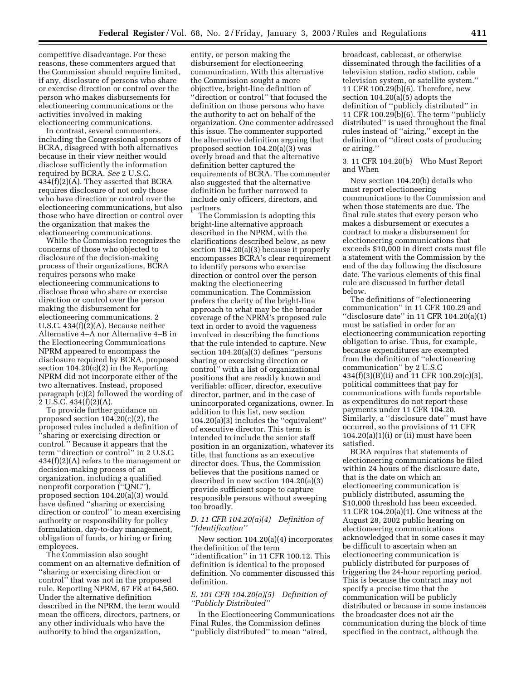competitive disadvantage. For these reasons, these commenters argued that the Commission should require limited, if any, disclosure of persons who share or exercise direction or control over the person who makes disbursements for electioneering communications or the activities involved in making electioneering communications.

In contrast, several commenters, including the Congressional sponsors of BCRA, disagreed with both alternatives because in their view neither would disclose sufficiently the information required by BCRA. *See* 2 U.S.C. 434(f)(2)(A). They asserted that BCRA requires disclosure of not only those who have direction or control over the electioneering communications, but also those who have direction or control over the organization that makes the electioneering communications.

While the Commission recognizes the concerns of those who objected to disclosure of the decision-making process of their organizations, BCRA requires persons who make electioneering communications to disclose those who share or exercise direction or control over the person making the disbursement for electioneering communications. 2 U.S.C. 434(f)(2)(A). Because neither Alternative 4–A nor Alternative 4–B in the Electioneering Communications NPRM appeared to encompass the disclosure required by BCRA, proposed section 104.20(c)(2) in the Reporting NPRM did not incorporate either of the two alternatives. Instead, proposed paragraph (c)(2) followed the wording of 2 U.S.C. 434(f)(2)(A).

To provide further guidance on proposed section 104.20(c)(2), the proposed rules included a definition of ''sharing or exercising direction or control.'' Because it appears that the term ''direction or control'' in 2 U.S.C. 434(f)(2)(A) refers to the management or decision-making process of an organization, including a qualified nonprofit corporation (''QNC''), proposed section 104.20(a)(3) would have defined ''sharing or exercising direction or control'' to mean exercising authority or responsibility for policy formulation, day-to-day management, obligation of funds, or hiring or firing employees.

The Commission also sought comment on an alternative definition of ''sharing or exercising direction or control'' that was not in the proposed rule. Reporting NPRM, 67 FR at 64,560. Under the alternative definition described in the NPRM, the term would mean the officers, directors, partners, or any other individuals who have the authority to bind the organization,

entity, or person making the disbursement for electioneering communication. With this alternative the Commission sought a more objective, bright-line definition of ''direction or control'' that focused the definition on those persons who have the authority to act on behalf of the organization. One commenter addressed this issue. The commenter supported the alternative definition arguing that proposed section 104.20(a)(3) was overly broad and that the alternative definition better captured the requirements of BCRA. The commenter also suggested that the alternative definition be further narrowed to include only officers, directors, and partners.

The Commission is adopting this bright-line alternative approach described in the NPRM, with the clarifications described below, as new section 104.20(a)(3) because it properly encompasses BCRA's clear requirement to identify persons who exercise direction or control over the person making the electioneering communication. The Commission prefers the clarity of the bright-line approach to what may be the broader coverage of the NPRM's proposed rule text in order to avoid the vagueness involved in describing the functions that the rule intended to capture. New section 104.20(a)(3) defines ''persons sharing or exercising direction or control'' with a list of organizational positions that are readily known and verifiable: officer, director, executive director, partner, and in the case of unincorporated organizations, owner. In addition to this list, new section 104.20(a)(3) includes the ''equivalent'' of executive director. This term is intended to include the senior staff position in an organization, whatever its title, that functions as an executive director does. Thus, the Commission believes that the positions named or described in new section 104.20(a)(3) provide sufficient scope to capture responsible persons without sweeping too broadly.

## *D. 11 CFR 104.20(a)(4) Definition of ''Identification''*

New section 104.20(a)(4) incorporates the definition of the term ''identification'' in 11 CFR 100.12. This definition is identical to the proposed definition. No commenter discussed this definition.

## *E. 101 CFR 104.20(a)(5) Definition of ''Publicly Distributed''*

In the Electioneering Communications Final Rules, the Commission defines ''publicly distributed'' to mean ''aired,

broadcast, cablecast, or otherwise disseminated through the facilities of a television station, radio station, cable television system, or satellite system.'' 11 CFR 100.29(b)(6). Therefore, new section 104.20(a)(5) adopts the definition of ''publicly distributed'' in 11 CFR 100.29(b)(6). The term ''publicly distributed'' is used throughout the final rules instead of ''airing,'' except in the definition of ''direct costs of producing or airing.''

3. 11 CFR 104.20(b) Who Must Report and When

New section 104.20(b) details who must report electioneering communications to the Commission and when those statements are due. The final rule states that every person who makes a disbursement or executes a contract to make a disbursement for electioneering communications that exceeds \$10,000 in direct costs must file a statement with the Commission by the end of the day following the disclosure date. The various elements of this final rule are discussed in further detail below.

The definitions of ''electioneering communication'' in 11 CFR 100.29 and ''disclosure date'' in 11 CFR 104.20(a)(1) must be satisfied in order for an electioneering communication reporting obligation to arise. Thus, for example, because expenditures are exempted from the definition of ''electioneering communication'' by 2 U.S.C 434(f)(3)(B)(ii) and 11 CFR 100.29(c)(3), political committees that pay for communications with funds reportable as expenditures do not report these payments under 11 CFR 104.20. Similarly, a ''disclosure date'' must have occurred, so the provisions of 11 CFR  $104.20(a)(1)(i)$  or (ii) must have been satisfied.

BCRA requires that statements of electioneering communications be filed within 24 hours of the disclosure date, that is the date on which an electioneering communication is publicly distributed, assuming the \$10,000 threshold has been exceeded. 11 CFR 104.20(a)(1). One witness at the August 28, 2002 public hearing on electioneering communications acknowledged that in some cases it may be difficult to ascertain when an electioneering communication is publicly distributed for purposes of triggering the 24-hour reporting period. This is because the contract may not specify a precise time that the communication will be publicly distributed or because in some instances the broadcaster does not air the communication during the block of time specified in the contract, although the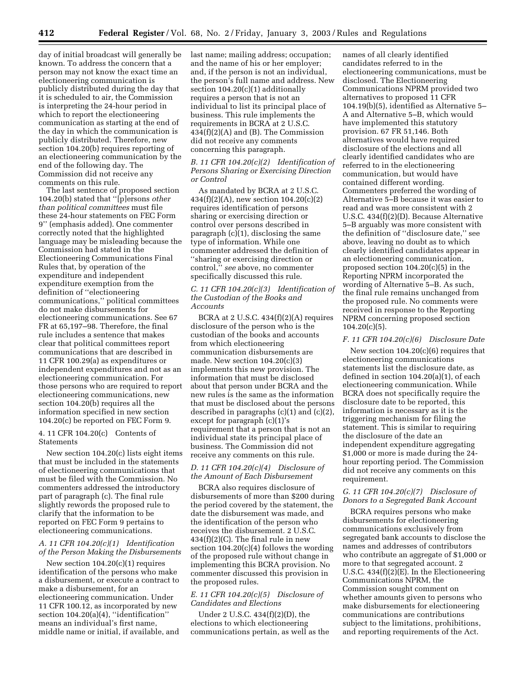day of initial broadcast will generally be known. To address the concern that a person may not know the exact time an electioneering communication is publicly distributed during the day that it is scheduled to air, the Commission is interpreting the 24-hour period in which to report the electioneering communication as starting at the end of the day in which the communication is publicly distributed. Therefore, new section 104.20(b) requires reporting of an electioneering communication by the end of the following day. The Commission did not receive any comments on this rule.

The last sentence of proposed section 104.20(b) stated that ''[p]ersons *other than political committees* must file these 24-hour statements on FEC Form 9'' (emphasis added). One commenter correctly noted that the highlighted language may be misleading because the Commission had stated in the Electioneering Communications Final Rules that, by operation of the expenditure and independent expenditure exemption from the definition of ''electioneering communications,'' political committees do not make disbursements for electioneering communications. See 67 FR at 65,197–98. Therefore, the final rule includes a sentence that makes clear that political committees report communications that are described in 11 CFR 100.29(a) as expenditures or independent expenditures and not as an electioneering communication. For those persons who are required to report electioneering communications, new section 104.20(b) requires all the information specified in new section 104.20(c) be reported on FEC Form 9.

## 4. 11 CFR 104.20(c) Contents of **Statements**

New section 104.20(c) lists eight items that must be included in the statements of electioneering communications that must be filed with the Commission. No commenters addressed the introductory part of paragraph (c). The final rule slightly rewords the proposed rule to clarify that the information to be reported on FEC Form 9 pertains to electioneering communications.

## *A. 11 CFR 104.20(c)(1) Identification of the Person Making the Disbursements*

New section 104.20(c)(1) requires identification of the persons who make a disbursement, or execute a contract to make a disbursement, for an electioneering communication. Under 11 CFR 100.12, as incorporated by new section 104.20(a)(4), "identification" means an individual's first name, middle name or initial, if available, and

last name; mailing address; occupation; and the name of his or her employer; and, if the person is not an individual, the person's full name and address. New section 104.20(c)(1) additionally requires a person that is not an individual to list its principal place of business. This rule implements the requirements in BCRA at 2 U.S.C. 434(f)(2)(A) and (B). The Commission did not receive any comments concerning this paragraph.

## *B. 11 CFR 104.20(c)(2) Identification of Persons Sharing or Exercising Direction or Control*

As mandated by BCRA at 2 U.S.C. 434(f)(2)(A), new section 104.20(c)(2) requires identification of persons sharing or exercising direction or control over persons described in paragraph (c)(1), disclosing the same type of information. While one commenter addressed the definition of ''sharing or exercising direction or control,'' *see* above, no commenter specifically discussed this rule.

## *C. 11 CFR 104.20(c)(3) Identification of the Custodian of the Books and Accounts*

BCRA at 2 U.S.C.  $434(f)(2)(A)$  requires disclosure of the person who is the custodian of the books and accounts from which electioneering communication disbursements are made. New section 104.20(c)(3) implements this new provision. The information that must be disclosed about that person under BCRA and the new rules is the same as the information that must be disclosed about the persons described in paragraphs  $(c)(1)$  and  $(c)(2)$ , except for paragraph (c)(1)'s requirement that a person that is not an individual state its principal place of business. The Commission did not receive any comments on this rule.

## *D. 11 CFR 104.20(c)(4) Disclosure of the Amount of Each Disbursement*

BCRA also requires disclosure of disbursements of more than \$200 during the period covered by the statement, the date the disbursement was made, and the identification of the person who receives the disbursement. 2 U.S.C.  $434(f)(2)(C)$ . The final rule in new section  $104.20(c)(4)$  follows the wording of the proposed rule without change in implementing this BCRA provision. No commenter discussed this provision in the proposed rules.

## *E. 11 CFR 104.20(c)(5) Disclosure of Candidates and Elections*

Under 2 U.S.C. 434(f)(2)(D), the elections to which electioneering communications pertain, as well as the

names of all clearly identified candidates referred to in the electioneering communications, must be disclosed. The Electioneering Communications NPRM provided two alternatives to proposed 11 CFR 104.19(b)(5), identified as Alternative 5– A and Alternative 5–B, which would have implemented this statutory provision. 67 FR 51,146. Both alternatives would have required disclosure of the elections and all clearly identified candidates who are referred to in the electioneering communication, but would have contained different wording. Commenters preferred the wording of Alternative 5–B because it was easier to read and was more consistent with 2 U.S.C. 434(f)(2)(D). Because Alternative 5–B arguably was more consistent with the definition of ''disclosure date,'' see above, leaving no doubt as to which clearly identified candidates appear in an electioneering communication, proposed section 104.20(c)(5) in the Reporting NPRM incorporated the wording of Alternative 5–B. As such, the final rule remains unchanged from the proposed rule. No comments were received in response to the Reporting NPRM concerning proposed section  $104.20(c)(5)$ .

#### *F. 11 CFR 104.20(c)(6) Disclosure Date*

New section  $104.20(c)(6)$  requires that electioneering communications statements list the disclosure date, as defined in section 104.20(a)(1), of each electioneering communication. While BCRA does not specifically require the disclosure date to be reported, this information is necessary as it is the triggering mechanism for filing the statement. This is similar to requiring the disclosure of the date an independent expenditure aggregating \$1,000 or more is made during the 24 hour reporting period. The Commission did not receive any comments on this requirement.

## *G. 11 CFR 104.20(c)(7) Disclosure of Donors to a Segregated Bank Account*

BCRA requires persons who make disbursements for electioneering communications exclusively from segregated bank accounts to disclose the names and addresses of contributors who contribute an aggregate of \$1,000 or more to that segregated account. 2 U.S.C.  $434(f)(2)E$ . In the Electioneering Communications NPRM, the Commission sought comment on whether amounts given to persons who make disbursements for electioneering communications are contributions subject to the limitations, prohibitions, and reporting requirements of the Act.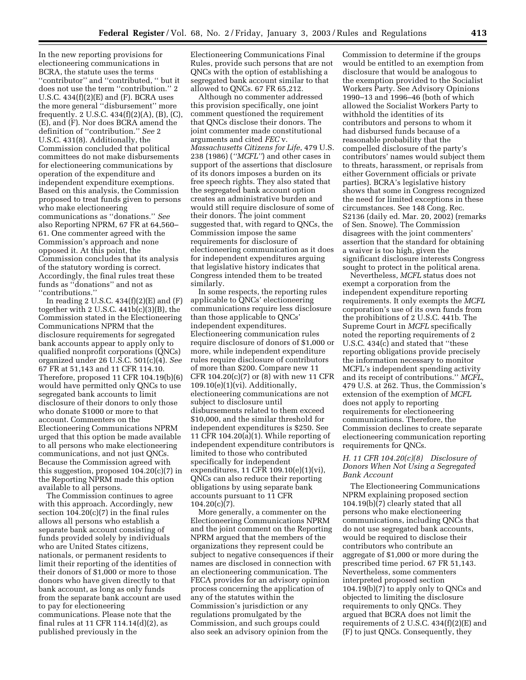In the new reporting provisions for electioneering communications in BCRA, the statute uses the terms ''contributor'' and ''contributed, '' but it does not use the term ''contribution.'' 2 U.S.C.  $434(f)(2)(E)$  and  $(F)$ . BCRA uses the more general ''disbursement'' more frequently. 2 U.S.C. 434(f)(2)(A), (B), (C), (E), and (F). Nor does BCRA amend the definition of ''contribution.'' *See* 2 U.S.C. 431(8). Additionally, the Commission concluded that political committees do not make disbursements for electioneering communications by operation of the expenditure and independent expenditure exemptions. Based on this analysis, the Commission proposed to treat funds given to persons who make electioneering communications as ''donations.'' *See*  also Reporting NPRM, 67 FR at 64,560– 61. One commenter agreed with the Commission's approach and none opposed it. At this point, the Commission concludes that its analysis of the statutory wording is correct. Accordingly, the final rules treat these funds as ''donations'' and not as ''contributions.''

In reading 2 U.S.C.  $434(f)(2)(E)$  and  $(F)$ together with 2 U.S.C.  $441b(c)(3)(B)$ , the Commission stated in the Electioneering Communications NPRM that the disclosure requirements for segregated bank accounts appear to apply only to qualified nonprofit corporations (QNCs) organized under 26 U.S.C. 501(c)(4). *See*  67 FR at 51,143 and 11 CFR 114.10. Therefore, proposed 11 CFR 104.19(b)(6) would have permitted only QNCs to use segregated bank accounts to limit disclosure of their donors to only those who donate \$1000 or more to that account. Commenters on the Electioneering Communications NPRM urged that this option be made available to all persons who make electioneering communications, and not just QNCs. Because the Commission agreed with this suggestion, proposed 104.20(c)(7) in the Reporting NPRM made this option available to all persons.

The Commission continues to agree with this approach. Accordingly, new section  $104.20(c)(7)$  in the final rules allows all persons who establish a separate bank account consisting of funds provided solely by individuals who are United States citizens, nationals, or permanent residents to limit their reporting of the identities of their donors of \$1,000 or more to those donors who have given directly to that bank account, as long as only funds from the separate bank account are used to pay for electioneering communications. Please note that the final rules at 11 CFR 114.14(d)(2), as published previously in the

Electioneering Communications Final Rules, provide such persons that are not QNCs with the option of establishing a segregated bank account similar to that allowed to QNCs. 67 FR 65,212.

Although no commenter addressed this provision specifically, one joint comment questioned the requirement that QNCs disclose their donors. The joint commenter made constitutional arguments and cited *FEC* v. *Massachusetts Citizens for Life*, 479 U.S. 238 (1986) (*''MCFL''*) and other cases in support of the assertions that disclosure of its donors imposes a burden on its free speech rights. They also stated that the segregated bank account option creates an administrative burden and would still require disclosure of some of their donors. The joint comment suggested that, with regard to QNCs, the Commission impose the same requirements for disclosure of electioneering communication as it does for independent expenditures arguing that legislative history indicates that Congress intended them to be treated similarly.

In some respects, the reporting rules applicable to QNCs' electioneering communications require less disclosure than those applicable to QNCs' independent expenditures. Electioneering communication rules require disclosure of donors of \$1,000 or more, while independent expenditure rules require disclosure of contributors of more than \$200. Compare new 11 CFR 104.20(c)(7) or (8) with new 11 CFR  $109.10(e)(1)(vi)$ . Additionally, electioneering communications are not subject to disclosure until disbursements related to them exceed \$10,000, and the similar threshold for independent expenditures is \$250. See 11 CFR 104.20(a)(1). While reporting of independent expenditure contributors is limited to those who contributed specifically for independent expenditures, 11 CFR 109.10(e)(1)(vi), QNCs can also reduce their reporting obligations by using separate bank accounts pursuant to 11 CFR  $104.20(c)(7)$ .

More generally, a commenter on the Electioneering Communications NPRM and the joint comment on the Reporting NPRM argued that the members of the organizations they represent could be subject to negative consequences if their names are disclosed in connection with an electioneering communication. The FECA provides for an advisory opinion process concerning the application of any of the statutes within the Commission's jurisdiction or any regulations promulgated by the Commission, and such groups could also seek an advisory opinion from the

Commission to determine if the groups would be entitled to an exemption from disclosure that would be analogous to the exemption provided to the Socialist Workers Party. See Advisory Opinions 1990–13 and 1996–46 (both of which allowed the Socialist Workers Party to withhold the identities of its contributors and persons to whom it had disbursed funds because of a reasonable probability that the compelled disclosure of the party's contributors' names would subject them to threats, harassment, or reprisals from either Government officials or private parties). BCRA's legislative history shows that some in Congress recognized the need for limited exceptions in these circumstances. See 148 Cong. Rec. S2136 (daily ed. Mar. 20, 2002) (remarks of Sen. Snowe). The Commission disagrees with the joint commenters' assertion that the standard for obtaining a waiver is too high, given the significant disclosure interests Congress sought to protect in the political arena.

Nevertheless, *MCFL* status does not exempt a corporation from the independent expenditure reporting requirements. It only exempts the *MCFL*  corporation's use of its own funds from the prohibitions of 2 U.S.C. 441b. The Supreme Court in *MCFL* specifically noted the reporting requirements of 2 U.S.C. 434(c) and stated that ''these reporting obligations provide precisely the information necessary to monitor MCFL's independent spending activity and its receipt of contributions.'' *MCFL*, 479 U.S. at 262. Thus, the Commission's extension of the exemption of *MCFL*  does not apply to reporting requirements for electioneering communications. Therefore, the Commission declines to create separate electioneering communication reporting requirements for QNCs.

## *H. 11 CFR 104.20(c)(8) Disclosure of Donors When Not Using a Segregated Bank Account*

The Electioneering Communications NPRM explaining proposed section 104.19(b)(7) clearly stated that all persons who make electioneering communications, including QNCs that do not use segregated bank accounts, would be required to disclose their contributors who contribute an aggregate of \$1,000 or more during the prescribed time period. 67 FR 51,143. Nevertheless, some commenters interpreted proposed section 104.19(b)(7) to apply only to QNCs and objected to limiting the disclosure requirements to only QNCs. They argued that BCRA does not limit the requirements of 2 U.S.C.  $434(f)(2)(E)$  and (F) to just QNCs. Consequently, they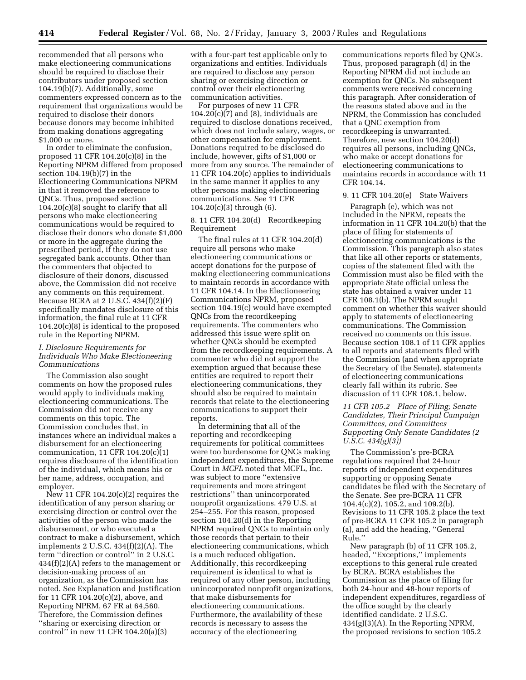recommended that all persons who make electioneering communications should be required to disclose their contributors under proposed section 104.19(b)(7). Additionally, some commenters expressed concern as to the requirement that organizations would be required to disclose their donors because donors may become inhibited from making donations aggregating \$1,000 or more.

In order to eliminate the confusion, proposed 11 CFR 104.20(c)(8) in the Reporting NPRM differed from proposed section 104.19(b)(7) in the Electioneering Communications NPRM in that it removed the reference to QNCs. Thus, proposed section 104.20(c)(8) sought to clarify that all persons who make electioneering communications would be required to disclose their donors who donate \$1,000 or more in the aggregate during the prescribed period, if they do not use segregated bank accounts. Other than the commenters that objected to disclosure of their donors, discussed above, the Commission did not receive any comments on this requirement. Because BCRA at 2 U.S.C. 434(f)(2)(F) specifically mandates disclosure of this information, the final rule at 11 CFR 104.20(c)(8) is identical to the proposed rule in the Reporting NPRM.

## *I. Disclosure Requirements for Individuals Who Make Electioneering Communications*

The Commission also sought comments on how the proposed rules would apply to individuals making electioneering communications. The Commission did not receive any comments on this topic. The Commission concludes that, in instances where an individual makes a disbursement for an electioneering communication, 11 CFR 104.20(c)(1) requires disclosure of the identification of the individual, which means his or her name, address, occupation, and employer.

 $\overline{\text{New}}$  11 CFR 104.20(c)(2) requires the identification of any person sharing or exercising direction or control over the activities of the person who made the disbursement, or who executed a contract to make a disbursement, which implements 2 U.S.C.  $434(f)(2)(A)$ . The term ''direction or control'' in 2 U.S.C. 434(f)(2)(A) refers to the management or decision-making process of an organization, as the Commission has noted. See Explanation and Justification for 11 CFR 104.20(c)(2), above, and Reporting NPRM, 67 FR at 64,560. Therefore, the Commission defines ''sharing or exercising direction or control'' in new 11 CFR 104.20(a)(3)

with a four-part test applicable only to organizations and entities. Individuals are required to disclose any person sharing or exercising direction or control over their electioneering communication activities.

For purposes of new 11 CFR  $104.20(c)(7)$  and  $(8)$ , individuals are required to disclose donations received, which does not include salary, wages, or other compensation for employment. Donations required to be disclosed do include, however, gifts of \$1,000 or more from any source. The remainder of 11 CFR 104.20(c) applies to individuals in the same manner it applies to any other persons making electioneering communications. See 11 CFR  $104.20(c)(3)$  through  $(6)$ .

## 8. 11 CFR 104.20(d) Recordkeeping Requirement

The final rules at 11 CFR 104.20(d) require all persons who make electioneering communications or accept donations for the purpose of making electioneering communications to maintain records in accordance with 11 CFR 104.14. In the Electioneering Communications NPRM, proposed section 104.19(c) would have exempted QNCs from the recordkeeping requirements. The commenters who addressed this issue were split on whether QNCs should be exempted from the recordkeeping requirements. A commenter who did not support the exemption argued that because these entities are required to report their electioneering communications, they should also be required to maintain records that relate to the electioneering communications to support their reports.

In determining that all of the reporting and recordkeeping requirements for political committees were too burdensome for QNCs making independent expenditures, the Supreme Court in *MCFL* noted that MCFL, Inc. was subject to more ''extensive requirements and more stringent restrictions'' than unincorporated nonprofit organizations. 479 U.S. at 254–255. For this reason, proposed section 104.20(d) in the Reporting NPRM required QNCs to maintain only those records that pertain to their electioneering communications, which is a much reduced obligation. Additionally, this recordkeeping requirement is identical to what is required of any other person, including unincorporated nonprofit organizations, that make disbursements for electioneering communications. Furthermore, the availability of these records is necessary to assess the accuracy of the electioneering

communications reports filed by QNCs. Thus, proposed paragraph (d) in the Reporting NPRM did not include an exemption for QNCs. No subsequent comments were received concerning this paragraph. After consideration of the reasons stated above and in the NPRM, the Commission has concluded that a QNC exemption from recordkeeping is unwarranted. Therefore, new section 104.20(d) requires all persons, including QNCs, who make or accept donations for electioneering communications to maintains records in accordance with 11 CFR 104.14.

#### 9. 11 CFR 104.20(e) State Waivers

Paragraph (e), which was not included in the NPRM, repeats the information in 11 CFR 104.20(b) that the place of filing for statements of electioneering communications is the Commission. This paragraph also states that like all other reports or statements, copies of the statement filed with the Commission must also be filed with the appropriate State official unless the state has obtained a waiver under 11 CFR 108.1(b). The NPRM sought comment on whether this waiver should apply to statements of electioneering communications. The Commission received no comments on this issue. Because section 108.1 of 11 CFR applies to all reports and statements filed with the Commission (and when appropriate the Secretary of the Senate), statements of electioneering communications clearly fall within its rubric. See discussion of 11 CFR 108.1, below.

## *11 CFR 105.2 Place of Filing; Senate Candidates, Their Principal Campaign Committees, and Committees Supporting Only Senate Candidates (2 U.S.C. 434(g)(3))*

The Commission's pre-BCRA regulations required that 24-hour reports of independent expenditures supporting or opposing Senate candidates be filed with the Secretary of the Senate. See pre-BCRA 11 CFR 104.4(c)(2), 105.2, and 109.2(b). Revisions to 11 CFR 105.2 place the text of pre-BCRA 11 CFR 105.2 in paragraph (a), and add the heading, ''General Rule.''

New paragraph (b) of 11 CFR 105.2, headed, "Exceptions," implements exceptions to this general rule created by BCRA. BCRA establishes the Commission as the place of filing for both 24-hour and 48-hour reports of independent expenditures, regardless of the office sought by the clearly identified candidate. 2 U.S.C. 434(g)(3)(A). In the Reporting NPRM, the proposed revisions to section 105.2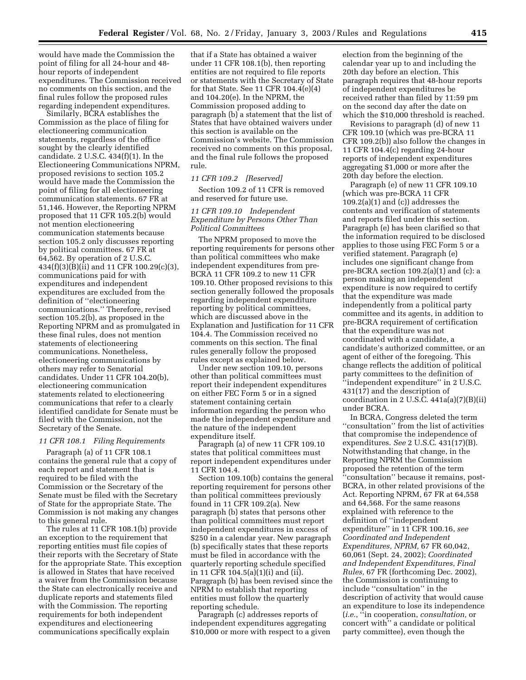would have made the Commission the point of filing for all 24-hour and 48 hour reports of independent expenditures. The Commission received no comments on this section, and the final rules follow the proposed rules regarding independent expenditures.

Similarly, BCRA establishes the Commission as the place of filing for electioneering communication statements, regardless of the office sought by the clearly identified candidate. 2 U.S.C. 434(f)(1). In the Electioneering Communications NPRM, proposed revisions to section 105.2 would have made the Commission the point of filing for all electioneering communication statements. 67 FR at 51,146. However, the Reporting NPRM proposed that 11 CFR 105.2(b) would not mention electioneering communication statements because section 105.2 only discusses reporting by political committees. 67 FR at 64,562. By operation of 2 U.S.C. 434(f)(3)(B)(ii) and 11 CFR 100.29(c)(3), communications paid for with expenditures and independent expenditures are excluded from the definition of ''electioneering communications.'' Therefore, revised section 105.2(b), as proposed in the Reporting NPRM and as promulgated in these final rules, does not mention statements of electioneering communications. Nonetheless, electioneering communications by others may refer to Senatorial candidates. Under 11 CFR 104.20(b), electioneering communication statements related to electioneering communications that refer to a clearly identified candidate for Senate must be filed with the Commission, not the Secretary of the Senate.

#### *11 CFR 108.1 Filing Requirements*

Paragraph (a) of 11 CFR 108.1 contains the general rule that a copy of each report and statement that is required to be filed with the Commission or the Secretary of the Senate must be filed with the Secretary of State for the appropriate State. The Commission is not making any changes to this general rule.

The rules at 11 CFR 108.1(b) provide an exception to the requirement that reporting entities must file copies of their reports with the Secretary of State for the appropriate State. This exception is allowed in States that have received a waiver from the Commission because the State can electronically receive and duplicate reports and statements filed with the Commission. The reporting requirements for both independent expenditures and electioneering communications specifically explain

that if a State has obtained a waiver under 11 CFR 108.1(b), then reporting entities are not required to file reports or statements with the Secretary of State for that State. See 11 CFR  $104.4(e)(4)$ and 104.20(e). In the NPRM, the Commission proposed adding to paragraph (b) a statement that the list of States that have obtained waivers under this section is available on the Commission's website. The Commission received no comments on this proposal, and the final rule follows the proposed rule.

## *11 CFR 109.2 [Reserved]*

Section 109.2 of 11 CFR is removed and reserved for future use.

## *11 CFR 109.10 Independent Expenditure by Persons Other Than Political Committees*

The NPRM proposed to move the reporting requirements for persons other than political committees who make independent expenditures from pre-BCRA 11 CFR 109.2 to new 11 CFR 109.10. Other proposed revisions to this section generally followed the proposals regarding independent expenditure reporting by political committees, which are discussed above in the Explanation and Justification for 11 CFR 104.4. The Commission received no comments on this section. The final rules generally follow the proposed rules except as explained below.

Under new section 109.10, persons other than political committees must report their independent expenditures on either FEC Form 5 or in a signed statement containing certain information regarding the person who made the independent expenditure and the nature of the independent expenditure itself.

Paragraph (a) of new 11 CFR 109.10 states that political committees must report independent expenditures under 11 CFR 104.4.

Section 109.10(b) contains the general reporting requirement for persons other than political committees previously found in 11 CFR 109.2(a). New paragraph (b) states that persons other than political committees must report independent expenditures in excess of \$250 in a calendar year. New paragraph (b) specifically states that these reports must be filed in accordance with the quarterly reporting schedule specified in 11 CFR 104.5(a)(1)(i) and (ii). Paragraph (b) has been revised since the NPRM to establish that reporting entities must follow the quarterly reporting schedule.

Paragraph (c) addresses reports of independent expenditures aggregating \$10,000 or more with respect to a given

election from the beginning of the calendar year up to and including the 20th day before an election. This paragraph requires that 48-hour reports of independent expenditures be received rather than filed by 11:59 pm on the second day after the date on which the \$10,000 threshold is reached.

Revisions to paragraph (d) of new 11 CFR 109.10 (which was pre-BCRA 11 CFR 109.2(b)) also follow the changes in 11 CFR 104.4(c) regarding 24-hour reports of independent expenditures aggregating \$1,000 or more after the 20th day before the election.

Paragraph (e) of new 11 CFR 109.10 (which was pre-BCRA 11 CFR  $109.2(a)(1)$  and  $(c)$ ) addresses the contents and verification of statements and reports filed under this section. Paragraph (e) has been clarified so that the information required to be disclosed applies to those using FEC Form 5 or a verified statement. Paragraph (e) includes one significant change from pre-BCRA section 109.2(a)(1) and (c): a person making an independent expenditure is now required to certify that the expenditure was made independently from a political party committee and its agents, in addition to pre-BCRA requirement of certification that the expenditure was not coordinated with a candidate, a candidate's authorized committee, or an agent of either of the foregoing. This change reflects the addition of political party committees to the definition of ''independent expenditure'' in 2 U.S.C. 431(17) and the description of coordination in 2 U.S.C.  $441a(a)(7)(B)(ii)$ under BCRA.

In BCRA, Congress deleted the term ''consultation'' from the list of activities that compromise the independence of expenditures. *See* 2 U.S.C. 431(17)(B). Notwithstanding that change, in the Reporting NPRM the Commission proposed the retention of the term ''consultation'' because it remains, post-BCRA, in other related provisions of the Act. Reporting NPRM, 67 FR at 64,558 and 64,568. For the same reasons explained with reference to the definition of ''independent expenditure'' in 11 CFR 100.16, *see Coordinated and Independent Expenditures, NPRM,* 67 FR 60,042, 60,061 (Sept. 24, 2002); *Coordinated and Independent Expenditures, Final Rules,* 67 FR (forthcoming Dec. 2002), the Commission is continuing to include ''consultation'' in the description of activity that would cause an expenditure to lose its independence (*i.e.*, ''in cooperation, *consultation,* or concert with'' a candidate or political party committee), even though the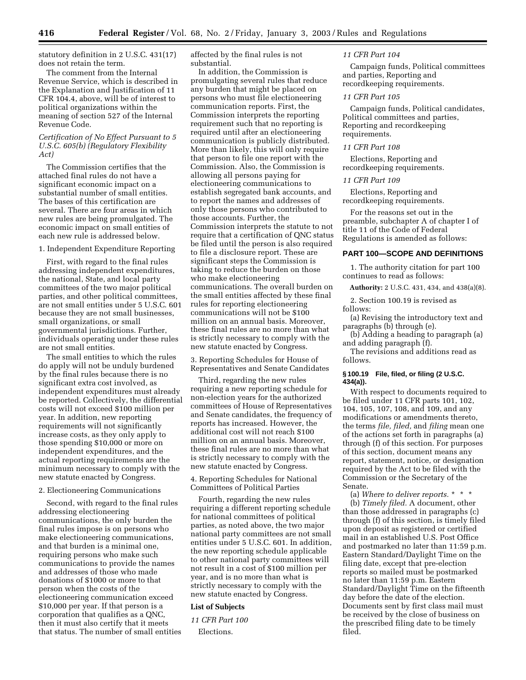statutory definition in 2 U.S.C. 431(17) does not retain the term.

The comment from the Internal Revenue Service, which is described in the Explanation and Justification of 11 CFR 104.4, above, will be of interest to political organizations within the meaning of section 527 of the Internal Revenue Code.

## *Certification of No Effect Pursuant to 5 U.S.C. 605(b) (Regulatory Flexibility Act)*

The Commission certifies that the attached final rules do not have a significant economic impact on a substantial number of small entities. The bases of this certification are several. There are four areas in which new rules are being promulgated. The economic impact on small entities of each new rule is addressed below.

## 1. Independent Expenditure Reporting

First, with regard to the final rules addressing independent expenditures, the national, State, and local party committees of the two major political parties, and other political committees, are not small entities under 5 U.S.C. 601 because they are not small businesses, small organizations, or small governmental jurisdictions. Further, individuals operating under these rules are not small entities.

The small entities to which the rules do apply will not be unduly burdened by the final rules because there is no significant extra cost involved, as independent expenditures must already be reported. Collectively, the differential costs will not exceed \$100 million per year. In addition, new reporting requirements will not significantly increase costs, as they only apply to those spending \$10,000 or more on independent expenditures, and the actual reporting requirements are the minimum necessary to comply with the new statute enacted by Congress.

#### 2. Electioneering Communications

Second, with regard to the final rules addressing electioneering communications, the only burden the final rules impose is on persons who make electioneering communications, and that burden is a minimal one, requiring persons who make such communications to provide the names and addresses of those who made donations of \$1000 or more to that person when the costs of the electioneering communication exceed \$10,000 per year. If that person is a corporation that qualifies as a QNC, then it must also certify that it meets that status. The number of small entities affected by the final rules is not substantial.

In addition, the Commission is promulgating several rules that reduce any burden that might be placed on persons who must file electioneering communication reports. First, the Commission interprets the reporting requirement such that no reporting is required until after an electioneering communication is publicly distributed. More than likely, this will only require that person to file one report with the Commission. Also, the Commission is allowing all persons paying for electioneering communications to establish segregated bank accounts, and to report the names and addresses of only those persons who contributed to those accounts. Further, the Commission interprets the statute to not require that a certification of QNC status be filed until the person is also required to file a disclosure report. These are significant steps the Commission is taking to reduce the burden on those who make electioneering communications. The overall burden on the small entities affected by these final rules for reporting electioneering communications will not be \$100 million on an annual basis. Moreover, these final rules are no more than what is strictly necessary to comply with the new statute enacted by Congress.

3. Reporting Schedules for House of Representatives and Senate Candidates

Third, regarding the new rules requiring a new reporting schedule for non-election years for the authorized committees of House of Representatives and Senate candidates, the frequency of reports has increased. However, the additional cost will not reach \$100 million on an annual basis. Moreover, these final rules are no more than what is strictly necessary to comply with the new statute enacted by Congress.

## 4. Reporting Schedules for National Committees of Political Parties

Fourth, regarding the new rules requiring a different reporting schedule for national committees of political parties, as noted above, the two major national party committees are not small entities under 5 U.S.C. 601. In addition, the new reporting schedule applicable to other national party committees will not result in a cost of \$100 million per year, and is no more than what is strictly necessary to comply with the new statute enacted by Congress.

#### **List of Subjects**

*11 CFR Part 100*  Elections.

#### *11 CFR Part 104*

Campaign funds, Political committees and parties, Reporting and recordkeeping requirements.

#### *11 CFR Part 105*

Campaign funds, Political candidates, Political committees and parties, Reporting and recordkeeping requirements.

## *11 CFR Part 108*

Elections, Reporting and recordkeeping requirements.

#### *11 CFR Part 109*

Elections, Reporting and recordkeeping requirements.

For the reasons set out in the preamble, subchapter A of chapter I of title 11 of the Code of Federal Regulations is amended as follows:

## **PART 100—SCOPE AND DEFINITIONS**

1. The authority citation for part 100 continues to read as follows:

**Authority:** 2 U.S.C. 431, 434, and 438(a)(8).

2. Section 100.19 is revised as follows:

(a) Revising the introductory text and paragraphs (b) through (e).

(b) Adding a heading to paragraph (a) and adding paragraph (f).

The revisions and additions read as follows.

## **§ 100.19 File, filed, or filing (2 U.S.C. 434(a)).**

With respect to documents required to be filed under 11 CFR parts 101, 102, 104, 105, 107, 108, and 109, and any modifications or amendments thereto, the terms *file, filed,* and *filing* mean one of the actions set forth in paragraphs (a) through (f) of this section. For purposes of this section, document means any report, statement, notice, or designation required by the Act to be filed with the Commission or the Secretary of the Senate.

(a) *Where to deliver reports.* \*\*\*

(b) *Timely filed.* A document, other than those addressed in paragraphs (c) through (f) of this section, is timely filed upon deposit as registered or certified mail in an established U.S. Post Office and postmarked no later than 11:59 p.m. Eastern Standard/Daylight Time on the filing date, except that pre-election reports so mailed must be postmarked no later than 11:59 p.m. Eastern Standard/Daylight Time on the fifteenth day before the date of the election. Documents sent by first class mail must be received by the close of business on the prescribed filing date to be timely filed.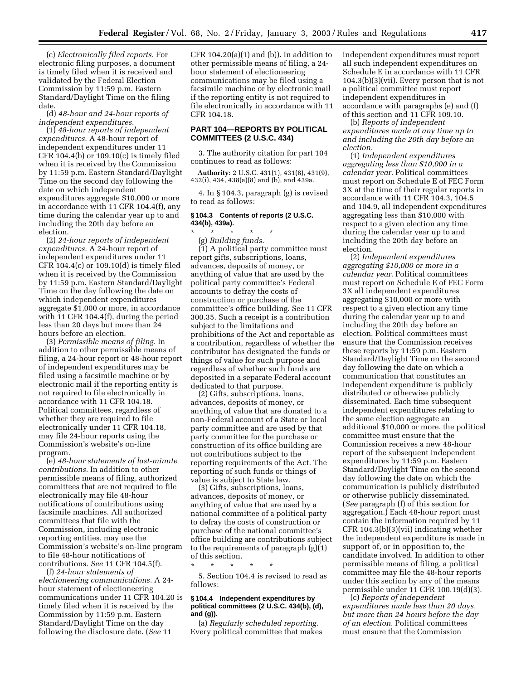(c) *Electronically filed reports.* For electronic filing purposes, a document is timely filed when it is received and validated by the Federal Election Commission by 11:59 p.m. Eastern Standard/Daylight Time on the filing date.

(d) *48-hour and 24-hour reports of independent expenditures.* 

(1) *48-hour reports of independent expenditures.* A 48-hour report of independent expenditures under 11 CFR 104.4(b) or 109.10(c) is timely filed when it is received by the Commission by 11:59 p.m. Eastern Standard/Daylight Time on the second day following the date on which independent expenditures aggregate \$10,000 or more in accordance with 11 CFR 104.4(f), any time during the calendar year up to and including the 20th day before an election.

(2) *24-hour reports of independent expenditures.* A 24-hour report of independent expenditures under 11 CFR 104.4(c) or 109.10(d) is timely filed when it is received by the Commission by 11:59 p.m. Eastern Standard/Daylight Time on the day following the date on which independent expenditures aggregate \$1,000 or more, in accordance with 11 CFR 104.4(f), during the period less than 20 days but more than 24 hours before an election.

(3) *Permissible means of filing.* In addition to other permissible means of filing, a 24-hour report or 48-hour report of independent expenditures may be filed using a facsimile machine or by electronic mail if the reporting entity is not required to file electronically in accordance with 11 CFR 104.18. Political committees, regardless of whether they are required to file electronically under 11 CFR 104.18, may file 24-hour reports using the Commission's website's on-line program.

(e) *48-hour statements of last-minute contributions.* In addition to other permissible means of filing, authorized committees that are not required to file electronically may file 48-hour notifications of contributions using facsimile machines. All authorized committees that file with the Commission, including electronic reporting entities, may use the Commission's website's on-line program to file 48-hour notifications of contributions. *See* 11 CFR 104.5(f).

(f) *24-hour statements of electioneering communications.* A 24 hour statement of electioneering communications under 11 CFR 104.20 is timely filed when it is received by the Commission by 11:59 p.m. Eastern Standard/Daylight Time on the day following the disclosure date. (*See* 11

CFR  $104.20(a)(1)$  and (b)). In addition to other permissible means of filing, a 24 hour statement of electioneering communications may be filed using a facsimile machine or by electronic mail if the reporting entity is not required to file electronically in accordance with 11 CFR 104.18.

## **PART 104—REPORTS BY POLITICAL COMMITTEES (2 U.S.C. 434)**

3. The authority citation for part 104 continues to read as follows:

**Authority:** 2 U.S.C. 431(1), 431(8), 431(9), 432(i), 434, 438(a)(8) and (b), and 439a.

4. In § 104.3, paragraph (g) is revised to read as follows:

## **§ 104.3 Contents of reports (2 U.S.C. 434(b), 439a).**

\* \* \* \* \* (g) *Building funds.*  (1) A political party committee must report gifts, subscriptions, loans, advances, deposits of money, or anything of value that are used by the political party committee's Federal accounts to defray the costs of construction or purchase of the committee's office building. See 11 CFR 300.35. Such a receipt is a contribution subject to the limitations and prohibitions of the Act and reportable as a contribution, regardless of whether the contributor has designated the funds or things of value for such purpose and regardless of whether such funds are deposited in a separate Federal account dedicated to that purpose.

(2) Gifts, subscriptions, loans, advances, deposits of money, or anything of value that are donated to a non-Federal account of a State or local party committee and are used by that party committee for the purchase or construction of its office building are not contributions subject to the reporting requirements of the Act. The reporting of such funds or things of value is subject to State law.

(3) Gifts, subscriptions, loans, advances, deposits of money, or anything of value that are used by a national committee of a political party to defray the costs of construction or purchase of the national committee's office building are contributions subject to the requirements of paragraph (g)(1) of this section.

\* \* \* \* \* 5. Section 104.4 is revised to read as follows:

#### **§ 104.4 Independent expenditures by political committees (2 U.S.C. 434(b), (d), and (g)).**

(a) *Regularly scheduled reporting.*  Every political committee that makes independent expenditures must report all such independent expenditures on Schedule E in accordance with 11 CFR 104.3(b)(3)(vii). Every person that is not a political committee must report independent expenditures in accordance with paragraphs (e) and (f) of this section and 11 CFR 109.10.

(b) *Reports of independent expenditures made at any time up to and including the 20th day before an election.* 

(1) *Independent expenditures aggregating less than \$10,000 in a calendar year.* Political committees must report on Schedule E of FEC Form 3X at the time of their regular reports in accordance with 11 CFR 104.3, 104.5 and 104.9, all independent expenditures aggregating less than \$10,000 with respect to a given election any time during the calendar year up to and including the 20th day before an election.

(2) *Independent expenditures aggregating \$10,000 or more in a calendar year.* Political committees must report on Schedule E of FEC Form 3X all independent expenditures aggregating \$10,000 or more with respect to a given election any time during the calendar year up to and including the 20th day before an election. Political committees must ensure that the Commission receives these reports by 11:59 p.m. Eastern Standard/Daylight Time on the second day following the date on which a communication that constitutes an independent expenditure is publicly distributed or otherwise publicly disseminated. Each time subsequent independent expenditures relating to the same election aggregate an additional \$10,000 or more, the political committee must ensure that the Commission receives a new 48-hour report of the subsequent independent expenditures by 11:59 p.m. Eastern Standard/Daylight Time on the second day following the date on which the communication is publicly distributed or otherwise publicly disseminated. (*See* paragraph (f) of this section for aggregation.) Each 48-hour report must contain the information required by 11 CFR 104.3(b)(3)(vii) indicating whether the independent expenditure is made in support of, or in opposition to, the candidate involved. In addition to other permissible means of filing, a political committee may file the 48-hour reports under this section by any of the means permissible under 11 CFR 100.19(d)(3).

(c) *Reports of independent expenditures made less than 20 days, but more than 24 hours before the day of an election.* Political committees must ensure that the Commission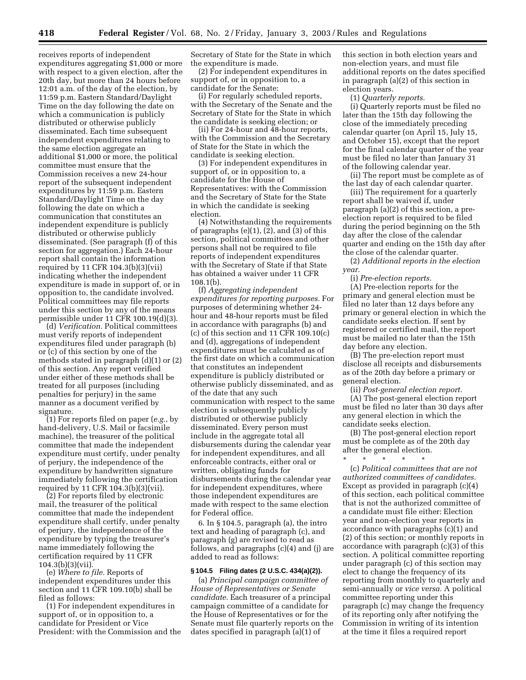receives reports of independent expenditures aggregating \$1,000 or more with respect to a given election, after the 20th day, but more than 24 hours before 12:01 a.m. of the day of the election, by 11:59 p.m. Eastern Standard/Daylight Time on the day following the date on which a communication is publicly distributed or otherwise publicly disseminated. Each time subsequent independent expenditures relating to the same election aggregate an additional \$1,000 or more, the political committee must ensure that the Commission receives a new 24-hour report of the subsequent independent expenditures by 11:59 p.m. Eastern Standard/Daylight Time on the day following the date on which a communication that constitutes an independent expenditure is publicly distributed or otherwise publicly disseminated. (See paragraph (f) of this section for aggregation.) Each 24-hour report shall contain the information required by 11 CFR 104.3(b)(3)(vii) indicating whether the independent expenditure is made in support of, or in opposition to, the candidate involved. Political committees may file reports under this section by any of the means permissible under 11 CFR 100.19(d)(3).

(d) *Verification.* Political committees must verify reports of independent expenditures filed under paragraph (b) or (c) of this section by one of the methods stated in paragraph (d)(1) or (2) of this section. Any report verified under either of these methods shall be treated for all purposes (including penalties for perjury) in the same manner as a document verified by signature.

(1) For reports filed on paper (*e.g.*, by hand-delivery, U.S. Mail or facsimile machine), the treasurer of the political committee that made the independent expenditure must certify, under penalty of perjury, the independence of the expenditure by handwritten signature immediately following the certification required by 11 CFR 104.3(b)(3)(vii).

(2) For reports filed by electronic mail, the treasurer of the political committee that made the independent expenditure shall certify, under penalty of perjury, the independence of the expenditure by typing the treasurer's name immediately following the certification required by 11 CFR 104.3(b)(3)(vii).

(e) *Where to file.* Reports of independent expenditures under this section and 11 CFR 109.10(b) shall be filed as follows:

(1) For independent expenditures in support of, or in opposition to, a candidate for President or Vice President: with the Commission and the Secretary of State for the State in which the expenditure is made.

(2) For independent expenditures in support of, or in opposition to, a candidate for the Senate:

(i) For regularly scheduled reports, with the Secretary of the Senate and the Secretary of State for the State in which the candidate is seeking election; or

(ii) For 24-hour and 48-hour reports, with the Commission and the Secretary of State for the State in which the candidate is seeking election.

(3) For independent expenditures in support of, or in opposition to, a candidate for the House of Representatives: with the Commission and the Secretary of State for the State in which the candidate is seeking election.

(4) Notwithstanding the requirements of paragraphs  $(e)(1)$ ,  $(2)$ , and  $(3)$  of this section, political committees and other persons shall not be required to file reports of independent expenditures with the Secretary of State if that State has obtained a waiver under 11 CFR 108.1(b).

(f) *Aggregating independent expenditures for reporting purposes.* For purposes of determining whether 24 hour and 48-hour reports must be filed in accordance with paragraphs (b) and  $(c)$  of this section and 11 CFR 109.10 $(c)$ and (d), aggregations of independent expenditures must be calculated as of the first date on which a communication that constitutes an independent expenditure is publicly distributed or otherwise publicly disseminated, and as of the date that any such communication with respect to the same election is subsequently publicly distributed or otherwise publicly disseminated. Every person must include in the aggregate total all disbursements during the calendar year for independent expenditures, and all enforceable contracts, either oral or written, obligating funds for disbursements during the calendar year for independent expenditures, where those independent expenditures are made with respect to the same election for Federal office.

6. In § 104.5, paragraph (a), the intro text and heading of paragraph (c), and paragraph (g) are revised to read as follows, and paragraphs (c)(4) and (j) are added to read as follows:

## **§ 104.5 Filing dates (2 U.S.C. 434(a)(2)).**

(a) *Principal campaign committee of House of Representatives or Senate candidate.* Each treasurer of a principal campaign committee of a candidate for the House of Representatives or for the Senate must file quarterly reports on the dates specified in paragraph (a)(1) of

this section in both election years and non-election years, and must file additional reports on the dates specified in paragraph (a)(2) of this section in election years.

(1) *Quarterly reports.* 

(i) Quarterly reports must be filed no later than the 15th day following the close of the immediately preceding calendar quarter (on April 15, July 15, and October 15), except that the report for the final calendar quarter of the year must be filed no later than January 31 of the following calendar year.

(ii) The report must be complete as of the last day of each calendar quarter.

(iii) The requirement for a quarterly report shall be waived if, under paragraph (a)(2) of this section, a preelection report is required to be filed during the period beginning on the 5th day after the close of the calendar quarter and ending on the 15th day after the close of the calendar quarter.

(2) *Additional reports in the election year.* 

(i) *Pre-election reports.* 

(A) Pre-election reports for the primary and general election must be filed no later than 12 days before any primary or general election in which the candidate seeks election. If sent by registered or certified mail, the report must be mailed no later than the 15th day before any election.

(B) The pre-election report must disclose all receipts and disbursements as of the 20th day before a primary or general election.

(ii) *Post-general election report.* 

(A) The post-general election report must be filed no later than 30 days after any general election in which the candidate seeks election.

(B) The post-general election report must be complete as of the 20th day after the general election.

\* \* \* \* \* (c) *Political committees that are not authorized committees of candidates.*  Except as provided in paragraph (c)(4) of this section, each political committee that is not the authorized committee of a candidate must file either: Election year and non-election year reports in accordance with paragraphs (c)(1) and (2) of this section; or monthly reports in accordance with paragraph (c)(3) of this section. A political committee reporting under paragraph (c) of this section may elect to change the frequency of its reporting from monthly to quarterly and semi-annually or *vice versa.* A political committee reporting under this paragraph (c) may change the frequency of its reporting only after notifying the Commission in writing of its intention at the time it files a required report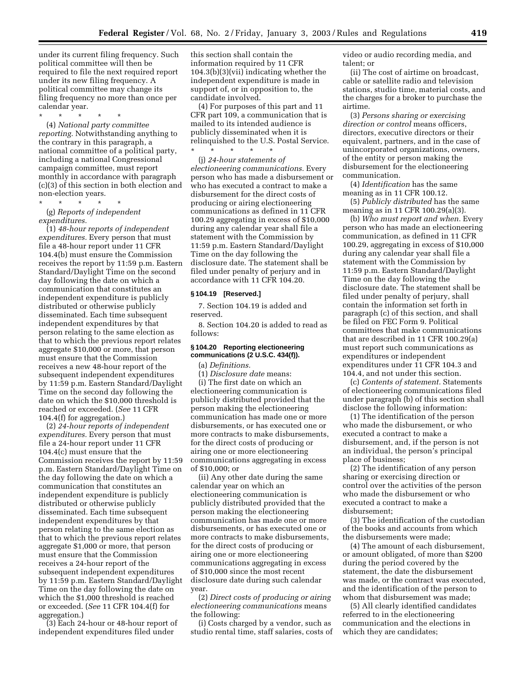under its current filing frequency. Such political committee will then be required to file the next required report under its new filing frequency. A political committee may change its filing frequency no more than once per calendar year.

\* \* \* \* \* (4) *National party committee reporting.* Notwithstanding anything to the contrary in this paragraph, a national committee of a political party, including a national Congressional campaign committee, must report monthly in accordance with paragraph (c)(3) of this section in both election and non-election years.

\* \* \* \* \* (g) *Reports of independent expenditures.* 

(1) *48-hour reports of independent expenditures.* Every person that must file a 48-hour report under 11 CFR 104.4(b) must ensure the Commission receives the report by 11:59 p.m. Eastern Standard/Daylight Time on the second day following the date on which a communication that constitutes an independent expenditure is publicly distributed or otherwise publicly disseminated. Each time subsequent independent expenditures by that person relating to the same election as that to which the previous report relates aggregate \$10,000 or more, that person must ensure that the Commission receives a new 48-hour report of the subsequent independent expenditures by 11:59 p.m. Eastern Standard/Daylight Time on the second day following the date on which the \$10,000 threshold is reached or exceeded. (*See* 11 CFR 104.4(f) for aggregation.)

(2) *24-hour reports of independent expenditures.* Every person that must file a 24-hour report under 11 CFR 104.4(c) must ensure that the Commission receives the report by 11:59 p.m. Eastern Standard/Daylight Time on the day following the date on which a communication that constitutes an independent expenditure is publicly distributed or otherwise publicly disseminated. Each time subsequent independent expenditures by that person relating to the same election as that to which the previous report relates aggregate \$1,000 or more, that person must ensure that the Commission receives a 24-hour report of the subsequent independent expenditures by 11:59 p.m. Eastern Standard/Daylight Time on the day following the date on which the \$1,000 threshold is reached or exceeded. (*See* 11 CFR 104.4(f) for aggregation.)

(3) Each 24-hour or 48-hour report of independent expenditures filed under

this section shall contain the information required by 11 CFR 104.3(b)(3)(vii) indicating whether the independent expenditure is made in support of, or in opposition to, the candidate involved.

(4) For purposes of this part and 11 CFR part 109, a communication that is mailed to its intended audience is publicly disseminated when it is relinquished to the U.S. Postal Service. \* \* \* \* \*

(j) *24-hour statements of electioneering communications.* Every person who has made a disbursement or who has executed a contract to make a disbursement for the direct costs of producing or airing electioneering communications as defined in 11 CFR 100.29 aggregating in excess of \$10,000 during any calendar year shall file a statement with the Commission by 11:59 p.m. Eastern Standard/Daylight Time on the day following the disclosure date. The statement shall be filed under penalty of perjury and in accordance with 11 CFR 104.20.

#### **§ 104.19 [Reserved.]**

7. Section 104.19 is added and reserved.

8. Section 104.20 is added to read as follows:

## **§ 104.20 Reporting electioneering communications (2 U.S.C. 434(f)).**

(a) *Definitions.* 

(1) *Disclosure date* means:

(i) The first date on which an electioneering communication is publicly distributed provided that the person making the electioneering communication has made one or more disbursements, or has executed one or more contracts to make disbursements, for the direct costs of producing or airing one or more electioneering communications aggregating in excess of \$10,000; or

(ii) Any other date during the same calendar year on which an electioneering communication is publicly distributed provided that the person making the electioneering communication has made one or more disbursements, or has executed one or more contracts to make disbursements, for the direct costs of producing or airing one or more electioneering communications aggregating in excess of \$10,000 since the most recent disclosure date during such calendar year.

(2) *Direct costs of producing or airing electioneering communications* means the following:

(i) Costs charged by a vendor, such as studio rental time, staff salaries, costs of video or audio recording media, and talent; or

(ii) The cost of airtime on broadcast, cable or satellite radio and television stations, studio time, material costs, and the charges for a broker to purchase the airtime.

(3) *Persons sharing or exercising direction or control* means officers, directors, executive directors or their equivalent, partners, and in the case of unincorporated organizations, owners, of the entity or person making the disbursement for the electioneering communication.

(4) *Identification* has the same meaning as in 11 CFR 100.12.

(5) *Publicly distributed* has the same meaning as in 11 CFR 100.29(a)(3).

(b) *Who must report and when.* Every person who has made an electioneering communication, as defined in 11 CFR 100.29, aggregating in excess of \$10,000 during any calendar year shall file a statement with the Commission by 11:59 p.m. Eastern Standard/Daylight Time on the day following the disclosure date. The statement shall be filed under penalty of perjury, shall contain the information set forth in paragraph (c) of this section, and shall be filed on FEC Form 9. Political committees that make communications that are described in 11 CFR 100.29(a) must report such communications as expenditures or independent expenditures under 11 CFR 104.3 and 104.4, and not under this section.

(c) *Contents of statement.* Statements of electioneering communications filed under paragraph (b) of this section shall disclose the following information:

(1) The identification of the person who made the disbursement, or who executed a contract to make a disbursement, and, if the person is not an individual, the person's principal place of business;

(2) The identification of any person sharing or exercising direction or control over the activities of the person who made the disbursement or who executed a contract to make a disbursement;

(3) The identification of the custodian of the books and accounts from which the disbursements were made;

(4) The amount of each disbursement, or amount obligated, of more than \$200 during the period covered by the statement, the date the disbursement was made, or the contract was executed, and the identification of the person to whom that disbursement was made;

(5) All clearly identified candidates referred to in the electioneering communication and the elections in which they are candidates;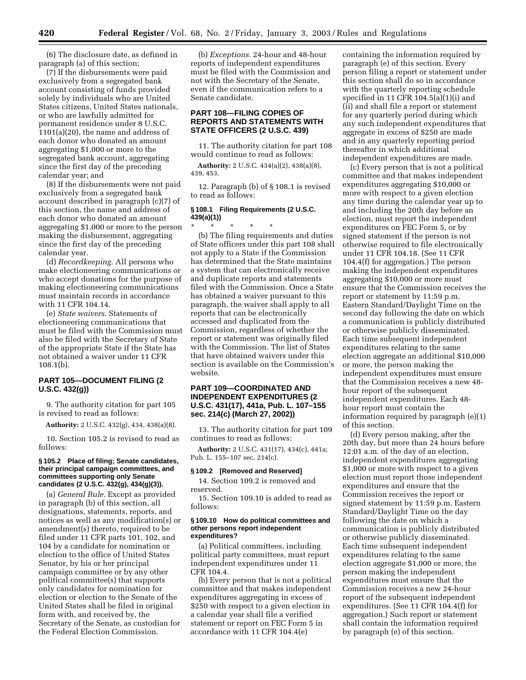(6) The disclosure date, as defined in paragraph (a) of this section;

(7) If the disbursements were paid exclusively from a segregated bank account consisting of funds provided solely by individuals who are United States citizens, United States nationals, or who are lawfully admitted for permanent residence under 8 U.S.C. 1101(a)(20), the name and address of each donor who donated an amount aggregating \$1,000 or more to the segregated bank account, aggregating since the first day of the preceding calendar year; and

(8) If the disbursements were not paid exclusively from a segregated bank account described in paragraph (c)(7) of this section, the name and address of each donor who donated an amount aggregating \$1,000 or more to the person making the disbursement, aggregating since the first day of the preceding calendar year.

(d) *Recordkeeping.* All persons who make electioneering communications or who accept donations for the purpose of making electioneering communications must maintain records in accordance with 11 CFR 104.14.

(e) *State waivers.* Statements of electioneering communications that must be filed with the Commission must also be filed with the Secretary of State of the appropriate State if the State has not obtained a waiver under 11 CFR 108.1(b).

## **PART 105—DOCUMENT FILING (2 U.S.C. 432(g))**

9. The authority citation for part 105 is revised to read as follows:

**Authority:** 2 U.S.C. 432(g), 434, 438(a)(8).

10. Section 105.2 is revised to read as follows:

#### **§ 105.2 Place of filing; Senate candidates, their principal campaign committees, and committees supporting only Senate candidates (2 U.S.C. 432(g), 434(g)(3)).**

(a) *General Rule.* Except as provided in paragraph (b) of this section, all designations, statements, reports, and notices as well as any modification(s) or amendment(s) thereto, required to be filed under 11 CFR parts 101, 102, and 104 by a candidate for nomination or election to the office of United States Senator, by his or her principal campaign committee or by any other political committee(s) that supports only candidates for nomination for election or election to the Senate of the United States shall be filed in original form with, and received by, the Secretary of the Senate, as custodian for the Federal Election Commission.

(b) *Exceptions.* 24-hour and 48-hour reports of independent expenditures must be filed with the Commission and not with the Secretary of the Senate, even if the communication refers to a Senate candidate.

## **PART 108—FILING COPIES OF REPORTS AND STATEMENTS WITH STATE OFFICERS (2 U.S.C. 439)**

11. The authority citation for part 108 would continue to read as follows:

**Authority:** 2 U.S.C. 434(a)(2), 438(a)(8), 439, 453.

12. Paragraph (b) of § 108.1 is revised to read as follows:

#### **§ 108.1 Filing Requirements (2 U.S.C. 439(a)(1))**

\* \* \* \* \* (b) The filing requirements and duties of State officers under this part 108 shall not apply to a State if the Commission has determined that the State maintains a system that can electronically receive and duplicate reports and statements filed with the Commission. Once a State has obtained a waiver pursuant to this paragraph, the waiver shall apply to all reports that can be electronically accessed and duplicated from the Commission, regardless of whether the report or statement was originally filed with the Commission. The list of States that have obtained waivers under this section is available on the Commission's website.

## **PART 109—COORDINATED AND INDEPENDENT EXPENDITURES (2 U.S.C. 431(17), 441a, Pub. L. 107–155 sec. 214(c) (March 27, 2002))**

13. The authority citation for part 109 continues to read as follows:

**Authority:** 2 U.S.C. 431(17), 434(c), 441a; Pub. L. 155–107 sec. 214(c).

#### **§ 109.2 [Removed and Reserved]**

14. Section 109.2 is removed and reserved.

15. Section 109.10 is added to read as follows:

#### **§ 109.10 How do political committees and other persons report independent expenditures?**

(a) Political committees, including political party committees, must report independent expenditures under 11 CFR 104.4.

(b) Every person that is not a political committee and that makes independent expenditures aggregating in excess of \$250 with respect to a given election in a calendar year shall file a verified statement or report on FEC Form 5 in accordance with 11 CFR 104.4(e)

containing the information required by paragraph (e) of this section. Every person filing a report or statement under this section shall do so in accordance with the quarterly reporting schedule specified in 11 CFR  $104.5(a)(1)(i)$  and (ii) and shall file a report or statement for any quarterly period during which any such independent expenditures that aggregate in excess of \$250 are made and in any quarterly reporting period thereafter in which additional independent expenditures are made.

(c) Every person that is not a political committee and that makes independent expenditures aggregating \$10,000 or more with respect to a given election any time during the calendar year up to and including the 20th day before an election, must report the independent expenditures on FEC Form 5, or by signed statement if the person is not otherwise required to file electronically under 11 CFR 104.18. (See 11 CFR 104.4(f) for aggregation.) The person making the independent expenditures aggregating \$10,000 or more must ensure that the Commission receives the report or statement by 11:59 p.m. Eastern Standard/Daylight Time on the second day following the date on which a communication is publicly distributed or otherwise publicly disseminated. Each time subsequent independent expenditures relating to the same election aggregate an additional \$10,000 or more, the person making the independent expenditures must ensure that the Commission receives a new 48 hour report of the subsequent independent expenditures. Each 48 hour report must contain the information required by paragraph (e)(1) of this section.

(d) Every person making, after the 20th day, but more than 24 hours before 12:01 a.m. of the day of an election, independent expenditures aggregating \$1,000 or more with respect to a given election must report those independent expenditures and ensure that the Commission receives the report or signed statement by 11:59 p.m. Eastern Standard/Daylight Time on the day following the date on which a communication is publicly distributed or otherwise publicly disseminated. Each time subsequent independent expenditures relating to the same election aggregate \$1,000 or more, the person making the independent expenditures must ensure that the Commission receives a new 24-hour report of the subsequent independent expenditures. (See 11 CFR 104.4(f) for aggregation.) Such report or statement shall contain the information required by paragraph (e) of this section.